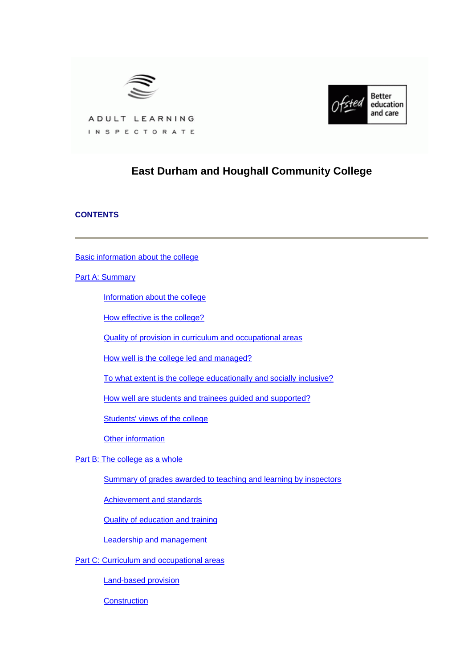



ADULT LEARNING INSPECTORATE

# **East Durham and Houghall Community College**

# **CONTENTS**

[Basic information about the college](#page-1-0)

[Part A: Summary](#page-1-0)

[Information about the college](#page-2-0)

[How effective is the college?](#page-2-0)

[Quality of provision in curriculum and occupational areas](#page-4-0)

[How well is the college led and managed?](#page-5-0)

[To what extent is the college educationally and socially inclusive?](#page-5-0)

[How well are students and trainees guided and supported?](#page-6-0)

[Students' views of the college](#page-6-0)

[Other information](#page-7-0)

[Part B: The college as a whole](#page-7-0)

[Summary of grades awarded to teaching and learning by inspectors](#page-7-0)

[Achievement and standards](#page-8-0)

[Quality of education and training](#page-9-0)

[Leadership and management](#page-12-0)

[Part C: Curriculum and occupational areas](#page-14-0)

[Land-based provision](#page-14-0)

**[Construction](#page-17-0)**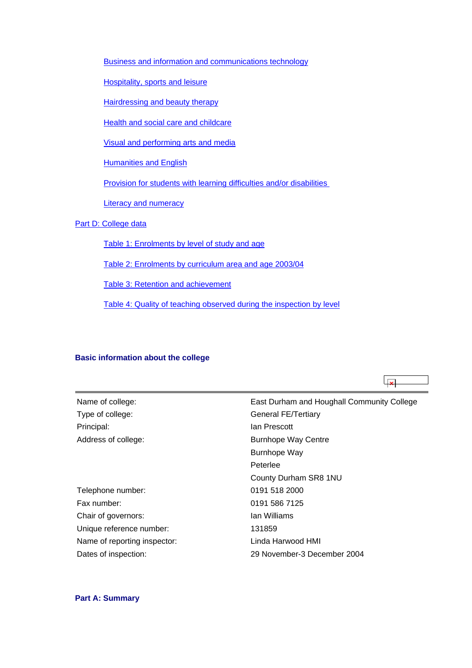<span id="page-1-0"></span>[Business and information and communications technology](#page-19-0)

[Hospitality, sports and leisure](#page-22-0)

[Hairdressing and beauty therapy](#page-26-0)

[Health and social care and childcare](#page-29-0)

[Visual and performing arts and media](#page-32-0)

[Humanities and English](#page-34-0)

[Provision for students with learning difficulties and/or disabilities](#page-37-0) 

**[Literacy and numeracy](#page-39-0)** 

# [Part D: College data](#page-42-0)

[Table 1: Enrolments by level of study and age](#page-42-0)

[Table 2: Enrolments by curriculum area and age 2003/04](#page-43-0)

[Table 3: Retention and achievement](#page-43-0)

[Table 4: Quality of teaching observed during the inspection by level](#page-44-0)

#### **Basic information about the college**

Name of college: East Durham and Houghall Community College Type of college: General FE/Tertiary Principal: Ian Prescott Burnhope Way Centre Burnhope Way Peterlee Address of college: County Durham SR8 1NU Telephone number: 0191 518 2000 Fax number: 0191 586 7125 Chair of governors: Ian Williams Unique reference number: 131859 Name of reporting inspector: Linda Harwood HMI Dates of inspection: 29 November-3 December 2004

# **Part A: Summary**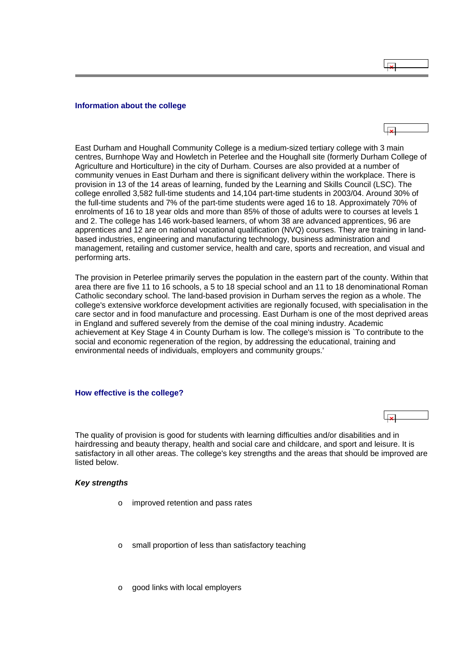# $\overline{\mathbf{x}}$

#### <span id="page-2-0"></span>**Information about the college**

East Durham and Houghall Community College is a medium-sized tertiary college with 3 main centres, Burnhope Way and Howletch in Peterlee and the Houghall site (formerly Durham College of Agriculture and Horticulture) in the city of Durham. Courses are also provided at a number of community venues in East Durham and there is significant delivery within the workplace. There is provision in 13 of the 14 areas of learning, funded by the Learning and Skills Council (LSC). The college enrolled 3,582 full-time students and 14,104 part-time students in 2003/04. Around 30% of the full-time students and 7% of the part-time students were aged 16 to 18. Approximately 70% of enrolments of 16 to 18 year olds and more than 85% of those of adults were to courses at levels 1 and 2. The college has 146 work-based learners, of whom 38 are advanced apprentices, 96 are apprentices and 12 are on national vocational qualification (NVQ) courses. They are training in landbased industries, engineering and manufacturing technology, business administration and management, retailing and customer service, health and care, sports and recreation, and visual and performing arts.

The provision in Peterlee primarily serves the population in the eastern part of the county. Within that area there are five 11 to 16 schools, a 5 to 18 special school and an 11 to 18 denominational Roman Catholic secondary school. The land-based provision in Durham serves the region as a whole. The college's extensive workforce development activities are regionally focused, with specialisation in the care sector and in food manufacture and processing. East Durham is one of the most deprived areas in England and suffered severely from the demise of the coal mining industry. Academic achievement at Key Stage 4 in County Durham is low. The college's mission is `To contribute to the social and economic regeneration of the region, by addressing the educational, training and environmental needs of individuals, employers and community groups.'

#### **How effective is the college?**



The quality of provision is good for students with learning difficulties and/or disabilities and in hairdressing and beauty therapy, health and social care and childcare, and sport and leisure. It is satisfactory in all other areas. The college's key strengths and the areas that should be improved are listed below.

# *Key strengths*

- o improved retention and pass rates
- o small proportion of less than satisfactory teaching
- o good links with local employers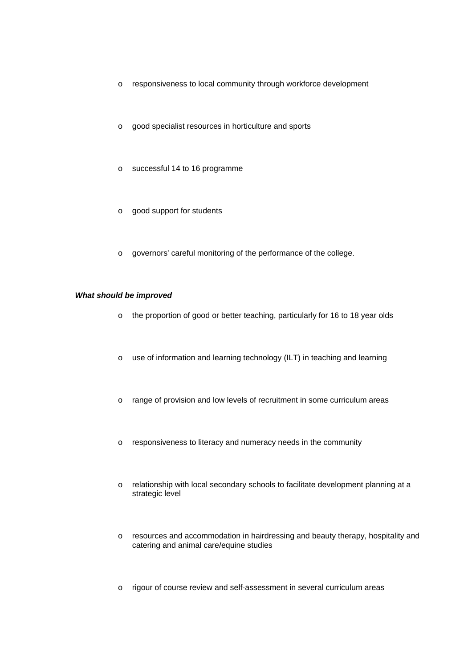- o responsiveness to local community through workforce development
- o good specialist resources in horticulture and sports
- o successful 14 to 16 programme
- o good support for students
- o governors' careful monitoring of the performance of the college.

# *What should be improved*

- o the proportion of good or better teaching, particularly for 16 to 18 year olds
- o use of information and learning technology (ILT) in teaching and learning
- o range of provision and low levels of recruitment in some curriculum areas
- o responsiveness to literacy and numeracy needs in the community
- o relationship with local secondary schools to facilitate development planning at a strategic level
- o resources and accommodation in hairdressing and beauty therapy, hospitality and catering and animal care/equine studies
- o rigour of course review and self-assessment in several curriculum areas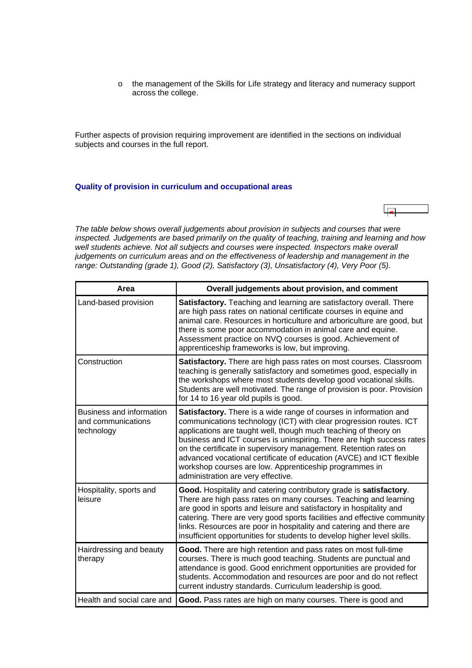<span id="page-4-0"></span>o the management of the Skills for Life strategy and literacy and numeracy support across the college.

Further aspects of provision requiring improvement are identified in the sections on individual subjects and courses in the full report.

# **Quality of provision in curriculum and occupational areas**

*The table below shows overall judgements about provision in subjects and courses that were inspected. Judgements are based primarily on the quality of teaching, training and learning and how*  well students achieve. Not all subjects and courses were inspected. Inspectors make overall *judgements on curriculum areas and on the effectiveness of leadership and management in the range: Outstanding (grade 1), Good (2), Satisfactory (3), Unsatisfactory (4), Very Poor (5).*

| Area                                                                | Overall judgements about provision, and comment                                                                                                                                                                                                                                                                                                                                                                                                                                                                                 |
|---------------------------------------------------------------------|---------------------------------------------------------------------------------------------------------------------------------------------------------------------------------------------------------------------------------------------------------------------------------------------------------------------------------------------------------------------------------------------------------------------------------------------------------------------------------------------------------------------------------|
| Land-based provision                                                | Satisfactory. Teaching and learning are satisfactory overall. There<br>are high pass rates on national certificate courses in equine and<br>animal care. Resources in horticulture and arboriculture are good, but<br>there is some poor accommodation in animal care and equine.<br>Assessment practice on NVQ courses is good. Achievement of<br>apprenticeship frameworks is low, but improving.                                                                                                                             |
| Construction                                                        | Satisfactory. There are high pass rates on most courses. Classroom<br>teaching is generally satisfactory and sometimes good, especially in<br>the workshops where most students develop good vocational skills.<br>Students are well motivated. The range of provision is poor. Provision<br>for 14 to 16 year old pupils is good.                                                                                                                                                                                              |
| <b>Business and information</b><br>and communications<br>technology | Satisfactory. There is a wide range of courses in information and<br>communications technology (ICT) with clear progression routes. ICT<br>applications are taught well, though much teaching of theory on<br>business and ICT courses is uninspiring. There are high success rates<br>on the certificate in supervisory management. Retention rates on<br>advanced vocational certificate of education (AVCE) and ICT flexible<br>workshop courses are low. Apprenticeship programmes in<br>administration are very effective. |
| Hospitality, sports and<br>leisure                                  | Good. Hospitality and catering contributory grade is satisfactory.<br>There are high pass rates on many courses. Teaching and learning<br>are good in sports and leisure and satisfactory in hospitality and<br>catering. There are very good sports facilities and effective community<br>links. Resources are poor in hospitality and catering and there are<br>insufficient opportunities for students to develop higher level skills.                                                                                       |
| Hairdressing and beauty<br>therapy                                  | Good. There are high retention and pass rates on most full-time<br>courses. There is much good teaching. Students are punctual and<br>attendance is good. Good enrichment opportunities are provided for<br>students. Accommodation and resources are poor and do not reflect<br>current industry standards. Curriculum leadership is good.                                                                                                                                                                                     |
| Health and social care and                                          | Good. Pass rates are high on many courses. There is good and                                                                                                                                                                                                                                                                                                                                                                                                                                                                    |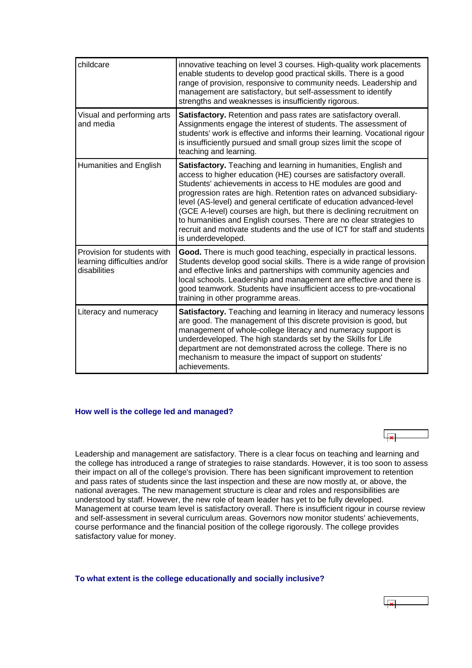<span id="page-5-0"></span>

| childcare                                                                   | innovative teaching on level 3 courses. High-quality work placements<br>enable students to develop good practical skills. There is a good<br>range of provision, responsive to community needs. Leadership and<br>management are satisfactory, but self-assessment to identify<br>strengths and weaknesses is insufficiently rigorous.                                                                                                                                                                                                                                                             |
|-----------------------------------------------------------------------------|----------------------------------------------------------------------------------------------------------------------------------------------------------------------------------------------------------------------------------------------------------------------------------------------------------------------------------------------------------------------------------------------------------------------------------------------------------------------------------------------------------------------------------------------------------------------------------------------------|
| Visual and performing arts<br>and media                                     | Satisfactory. Retention and pass rates are satisfactory overall.<br>Assignments engage the interest of students. The assessment of<br>students' work is effective and informs their learning. Vocational rigour<br>is insufficiently pursued and small group sizes limit the scope of<br>teaching and learning.                                                                                                                                                                                                                                                                                    |
| Humanities and English                                                      | Satisfactory. Teaching and learning in humanities, English and<br>access to higher education (HE) courses are satisfactory overall.<br>Students' achievements in access to HE modules are good and<br>progression rates are high. Retention rates on advanced subsidiary-<br>level (AS-level) and general certificate of education advanced-level<br>(GCE A-level) courses are high, but there is declining recruitment on<br>to humanities and English courses. There are no clear strategies to<br>recruit and motivate students and the use of ICT for staff and students<br>is underdeveloped. |
| Provision for students with<br>learning difficulties and/or<br>disabilities | Good. There is much good teaching, especially in practical lessons.<br>Students develop good social skills. There is a wide range of provision<br>and effective links and partnerships with community agencies and<br>local schools. Leadership and management are effective and there is<br>good teamwork. Students have insufficient access to pre-vocational<br>training in other programme areas.                                                                                                                                                                                              |
| Literacy and numeracy                                                       | Satisfactory. Teaching and learning in literacy and numeracy lessons<br>are good. The management of this discrete provision is good, but<br>management of whole-college literacy and numeracy support is<br>underdeveloped. The high standards set by the Skills for Life<br>department are not demonstrated across the college. There is no<br>mechanism to measure the impact of support on students'<br>achievements.                                                                                                                                                                           |

# **How well is the college led and managed?**

Leadership and management are satisfactory. There is a clear focus on teaching and learning and the college has introduced a range of strategies to raise standards. However, it is too soon to assess their impact on all of the college's provision. There has been significant improvement to retention and pass rates of students since the last inspection and these are now mostly at, or above, the national averages. The new management structure is clear and roles and responsibilities are understood by staff. However, the new role of team leader has yet to be fully developed. Management at course team level is satisfactory overall. There is insufficient rigour in course review and self-assessment in several curriculum areas. Governors now monitor students' achievements, course performance and the financial position of the college rigorously. The college provides satisfactory value for money.

**To what extent is the college educationally and socially inclusive?**



احدارا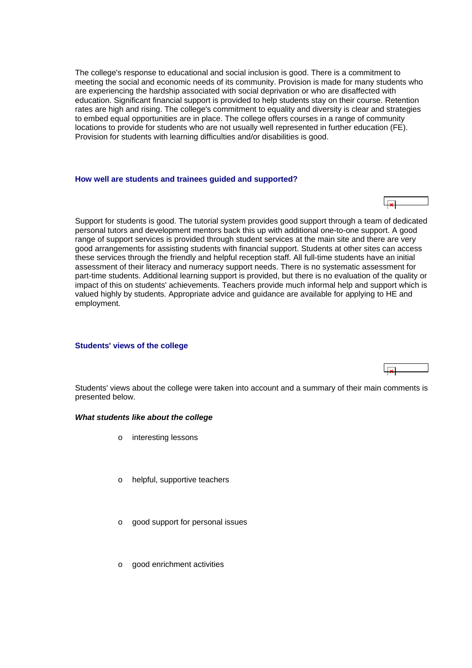<span id="page-6-0"></span>The college's response to educational and social inclusion is good. There is a commitment to meeting the social and economic needs of its community. Provision is made for many students who are experiencing the hardship associated with social deprivation or who are disaffected with education. Significant financial support is provided to help students stay on their course. Retention rates are high and rising. The college's commitment to equality and diversity is clear and strategies to embed equal opportunities are in place. The college offers courses in a range of community locations to provide for students who are not usually well represented in further education (FE). Provision for students with learning difficulties and/or disabilities is good.

# **How well are students and trainees guided and supported?**

Support for students is good. The tutorial system provides good support through a team of dedicated personal tutors and development mentors back this up with additional one-to-one support. A good range of support services is provided through student services at the main site and there are very good arrangements for assisting students with financial support. Students at other sites can access these services through the friendly and helpful reception staff. All full-time students have an initial assessment of their literacy and numeracy support needs. There is no systematic assessment for part-time students. Additional learning support is provided, but there is no evaluation of the quality or impact of this on students' achievements. Teachers provide much informal help and support which is valued highly by students. Appropriate advice and guidance are available for applying to HE and employment.

ا ت

#### **Students' views of the college**

Students' views about the college were taken into account and a summary of their main comments is presented below.

# *What students like about the college*

- o interesting lessons
- o helpful, supportive teachers
- o good support for personal issues
- o good enrichment activities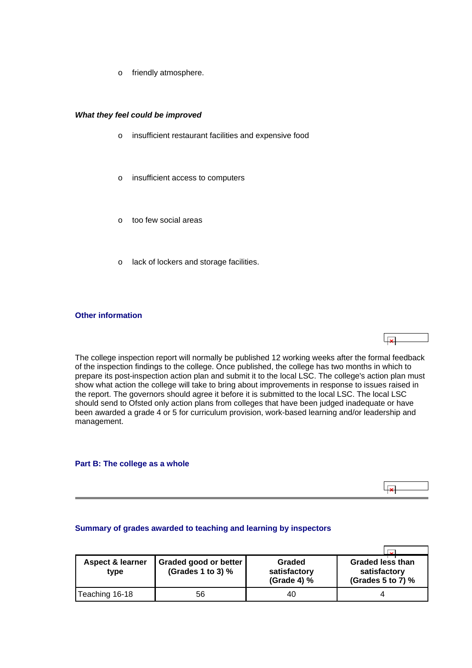o friendly atmosphere.

# <span id="page-7-0"></span>*What they feel could be improved*

- o insufficient restaurant facilities and expensive food
- o insufficient access to computers
- o too few social areas
- o lack of lockers and storage facilities.

# **Other information**

The college inspection report will normally be published 12 working weeks after the formal feedback of the inspection findings to the college. Once published, the college has two months in which to prepare its post-inspection action plan and submit it to the local LSC. The college's action plan must show what action the college will take to bring about improvements in response to issues raised in the report. The governors should agree it before it is submitted to the local LSC. The local LSC should send to Ofsted only action plans from colleges that have been judged inadequate or have been awarded a grade 4 or 5 for curriculum provision, work-based learning and/or leadership and management.

# **Part B: The college as a whole**



# **Summary of grades awarded to teaching and learning by inspectors**

| <b>Aspect &amp; learner</b><br>type | Graded good or better<br>(Grades 1 to 3) $%$ | Graded<br>satisfactory<br>(Grade 4) $%$ | <b>Graded less than</b><br>satisfactory<br>(Grades 5 to 7) $%$ |
|-------------------------------------|----------------------------------------------|-----------------------------------------|----------------------------------------------------------------|
| Teaching 16-18                      | 56                                           | 40                                      |                                                                |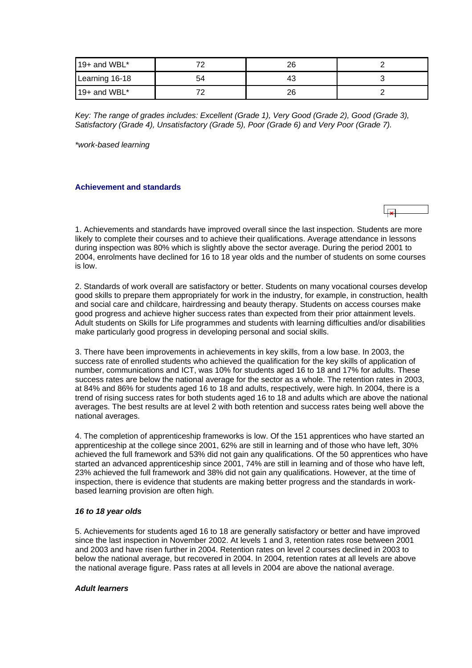<span id="page-8-0"></span>

| 19+ and $WBL^*$ |    |    |  |
|-----------------|----|----|--|
| Learning 16-18  | 54 | ∼  |  |
| 19+ and WBL*    |    | 26 |  |

*Key: The range of grades includes: Excellent (Grade 1), Very Good (Grade 2), Good (Grade 3), Satisfactory (Grade 4), Unsatisfactory (Grade 5), Poor (Grade 6) and Very Poor (Grade 7).*

*\*work-based learning*

# **Achievement and standards**

1. Achievements and standards have improved overall since the last inspection. Students are more likely to complete their courses and to achieve their qualifications. Average attendance in lessons during inspection was 80% which is slightly above the sector average. During the period 2001 to 2004, enrolments have declined for 16 to 18 year olds and the number of students on some courses is low.

2. Standards of work overall are satisfactory or better. Students on many vocational courses develop good skills to prepare them appropriately for work in the industry, for example, in construction, health and social care and childcare, hairdressing and beauty therapy. Students on access courses make good progress and achieve higher success rates than expected from their prior attainment levels. Adult students on Skills for Life programmes and students with learning difficulties and/or disabilities make particularly good progress in developing personal and social skills.

3. There have been improvements in achievements in key skills, from a low base. In 2003, the success rate of enrolled students who achieved the qualification for the key skills of application of number, communications and ICT, was 10% for students aged 16 to 18 and 17% for adults. These success rates are below the national average for the sector as a whole. The retention rates in 2003, at 84% and 86% for students aged 16 to 18 and adults, respectively, were high. In 2004, there is a trend of rising success rates for both students aged 16 to 18 and adults which are above the national averages. The best results are at level 2 with both retention and success rates being well above the national averages.

4. The completion of apprenticeship frameworks is low. Of the 151 apprentices who have started an apprenticeship at the college since 2001, 62% are still in learning and of those who have left, 30% achieved the full framework and 53% did not gain any qualifications. Of the 50 apprentices who have started an advanced apprenticeship since 2001, 74% are still in learning and of those who have left, 23% achieved the full framework and 38% did not gain any qualifications. However, at the time of inspection, there is evidence that students are making better progress and the standards in workbased learning provision are often high.

# *16 to 18 year olds*

5. Achievements for students aged 16 to 18 are generally satisfactory or better and have improved since the last inspection in November 2002. At levels 1 and 3, retention rates rose between 2001 and 2003 and have risen further in 2004. Retention rates on level 2 courses declined in 2003 to below the national average, but recovered in 2004. In 2004, retention rates at all levels are above the national average figure. Pass rates at all levels in 2004 are above the national average.

# *Adult learners*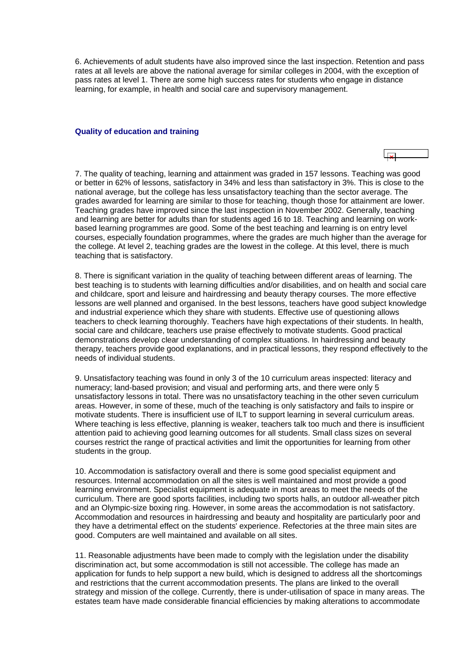<span id="page-9-0"></span>6. Achievements of adult students have also improved since the last inspection. Retention and pass rates at all levels are above the national average for similar colleges in 2004, with the exception of pass rates at level 1. There are some high success rates for students who engage in distance learning, for example, in health and social care and supervisory management.

### **Quality of education and training**

7. The quality of teaching, learning and attainment was graded in 157 lessons. Teaching was good or better in 62% of lessons, satisfactory in 34% and less than satisfactory in 3%. This is close to the national average, but the college has less unsatisfactory teaching than the sector average. The grades awarded for learning are similar to those for teaching, though those for attainment are lower. Teaching grades have improved since the last inspection in November 2002. Generally, teaching and learning are better for adults than for students aged 16 to 18. Teaching and learning on workbased learning programmes are good. Some of the best teaching and learning is on entry level courses, especially foundation programmes, where the grades are much higher than the average for the college. At level 2, teaching grades are the lowest in the college. At this level, there is much teaching that is satisfactory.

8. There is significant variation in the quality of teaching between different areas of learning. The best teaching is to students with learning difficulties and/or disabilities, and on health and social care and childcare, sport and leisure and hairdressing and beauty therapy courses. The more effective lessons are well planned and organised. In the best lessons, teachers have good subject knowledge and industrial experience which they share with students. Effective use of questioning allows teachers to check learning thoroughly. Teachers have high expectations of their students. In health, social care and childcare, teachers use praise effectively to motivate students. Good practical demonstrations develop clear understanding of complex situations. In hairdressing and beauty therapy, teachers provide good explanations, and in practical lessons, they respond effectively to the needs of individual students.

9. Unsatisfactory teaching was found in only 3 of the 10 curriculum areas inspected: literacy and numeracy; land-based provision; and visual and performing arts, and there were only 5 unsatisfactory lessons in total. There was no unsatisfactory teaching in the other seven curriculum areas. However, in some of these, much of the teaching is only satisfactory and fails to inspire or motivate students. There is insufficient use of ILT to support learning in several curriculum areas. Where teaching is less effective, planning is weaker, teachers talk too much and there is insufficient attention paid to achieving good learning outcomes for all students. Small class sizes on several courses restrict the range of practical activities and limit the opportunities for learning from other students in the group.

10. Accommodation is satisfactory overall and there is some good specialist equipment and resources. Internal accommodation on all the sites is well maintained and most provide a good learning environment. Specialist equipment is adequate in most areas to meet the needs of the curriculum. There are good sports facilities, including two sports halls, an outdoor all-weather pitch and an Olympic-size boxing ring. However, in some areas the accommodation is not satisfactory. Accommodation and resources in hairdressing and beauty and hospitality are particularly poor and they have a detrimental effect on the students' experience. Refectories at the three main sites are good. Computers are well maintained and available on all sites.

11. Reasonable adjustments have been made to comply with the legislation under the disability discrimination act, but some accommodation is still not accessible. The college has made an application for funds to help support a new build, which is designed to address all the shortcomings and restrictions that the current accommodation presents. The plans are linked to the overall strategy and mission of the college. Currently, there is under-utilisation of space in many areas. The estates team have made considerable financial efficiencies by making alterations to accommodate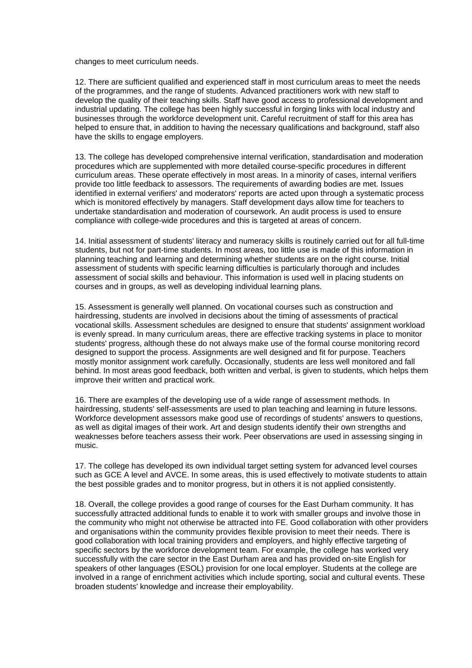changes to meet curriculum needs.

12. There are sufficient qualified and experienced staff in most curriculum areas to meet the needs of the programmes, and the range of students. Advanced practitioners work with new staff to develop the quality of their teaching skills. Staff have good access to professional development and industrial updating. The college has been highly successful in forging links with local industry and businesses through the workforce development unit. Careful recruitment of staff for this area has helped to ensure that, in addition to having the necessary qualifications and background, staff also have the skills to engage employers.

13. The college has developed comprehensive internal verification, standardisation and moderation procedures which are supplemented with more detailed course-specific procedures in different curriculum areas. These operate effectively in most areas. In a minority of cases, internal verifiers provide too little feedback to assessors. The requirements of awarding bodies are met. Issues identified in external verifiers' and moderators' reports are acted upon through a systematic process which is monitored effectively by managers. Staff development days allow time for teachers to undertake standardisation and moderation of coursework. An audit process is used to ensure compliance with college-wide procedures and this is targeted at areas of concern.

14. Initial assessment of students' literacy and numeracy skills is routinely carried out for all full-time students, but not for part-time students. In most areas, too little use is made of this information in planning teaching and learning and determining whether students are on the right course. Initial assessment of students with specific learning difficulties is particularly thorough and includes assessment of social skills and behaviour. This information is used well in placing students on courses and in groups, as well as developing individual learning plans.

15. Assessment is generally well planned. On vocational courses such as construction and hairdressing, students are involved in decisions about the timing of assessments of practical vocational skills. Assessment schedules are designed to ensure that students' assignment workload is evenly spread. In many curriculum areas, there are effective tracking systems in place to monitor students' progress, although these do not always make use of the formal course monitoring record designed to support the process. Assignments are well designed and fit for purpose. Teachers mostly monitor assignment work carefully. Occasionally, students are less well monitored and fall behind. In most areas good feedback, both written and verbal, is given to students, which helps them improve their written and practical work.

16. There are examples of the developing use of a wide range of assessment methods. In hairdressing, students' self-assessments are used to plan teaching and learning in future lessons. Workforce development assessors make good use of recordings of students' answers to questions, as well as digital images of their work. Art and design students identify their own strengths and weaknesses before teachers assess their work. Peer observations are used in assessing singing in music.

17. The college has developed its own individual target setting system for advanced level courses such as GCE A level and AVCE. In some areas, this is used effectively to motivate students to attain the best possible grades and to monitor progress, but in others it is not applied consistently.

18. Overall, the college provides a good range of courses for the East Durham community. It has successfully attracted additional funds to enable it to work with smaller groups and involve those in the community who might not otherwise be attracted into FE. Good collaboration with other providers and organisations within the community provides flexible provision to meet their needs. There is good collaboration with local training providers and employers, and highly effective targeting of specific sectors by the workforce development team. For example, the college has worked very successfully with the care sector in the East Durham area and has provided on-site English for speakers of other languages (ESOL) provision for one local employer. Students at the college are involved in a range of enrichment activities which include sporting, social and cultural events. These broaden students' knowledge and increase their employability.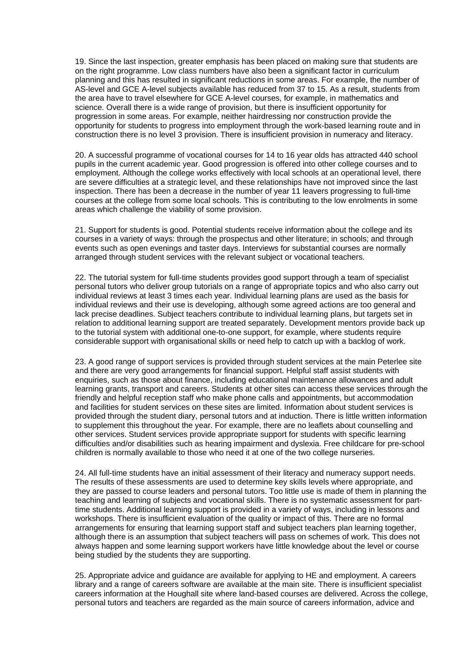19. Since the last inspection, greater emphasis has been placed on making sure that students are on the right programme. Low class numbers have also been a significant factor in curriculum planning and this has resulted in significant reductions in some areas. For example, the number of AS-level and GCE A-level subjects available has reduced from 37 to 15. As a result, students from the area have to travel elsewhere for GCE A-level courses, for example, in mathematics and science. Overall there is a wide range of provision, but there is insufficient opportunity for progression in some areas. For example, neither hairdressing nor construction provide the opportunity for students to progress into employment through the work-based learning route and in construction there is no level 3 provision. There is insufficient provision in numeracy and literacy.

20. A successful programme of vocational courses for 14 to 16 year olds has attracted 440 school pupils in the current academic year. Good progression is offered into other college courses and to employment. Although the college works effectively with local schools at an operational level, there are severe difficulties at a strategic level, and these relationships have not improved since the last inspection. There has been a decrease in the number of year 11 leavers progressing to full-time courses at the college from some local schools. This is contributing to the low enrolments in some areas which challenge the viability of some provision.

21. Support for students is good. Potential students receive information about the college and its courses in a variety of ways: through the prospectus and other literature; in schools; and through events such as open evenings and taster days. Interviews for substantial courses are normally arranged through student services with the relevant subject or vocational teachers.

22. The tutorial system for full-time students provides good support through a team of specialist personal tutors who deliver group tutorials on a range of appropriate topics and who also carry out individual reviews at least 3 times each year. Individual learning plans are used as the basis for individual reviews and their use is developing, although some agreed actions are too general and lack precise deadlines. Subject teachers contribute to individual learning plans, but targets set in relation to additional learning support are treated separately. Development mentors provide back up to the tutorial system with additional one-to-one support, for example, where students require considerable support with organisational skills or need help to catch up with a backlog of work.

23. A good range of support services is provided through student services at the main Peterlee site and there are very good arrangements for financial support. Helpful staff assist students with enquiries, such as those about finance, including educational maintenance allowances and adult learning grants, transport and careers. Students at other sites can access these services through the friendly and helpful reception staff who make phone calls and appointments, but accommodation and facilities for student services on these sites are limited. Information about student services is provided through the student diary, personal tutors and at induction. There is little written information to supplement this throughout the year. For example, there are no leaflets about counselling and other services. Student services provide appropriate support for students with specific learning difficulties and/or disabilities such as hearing impairment and dyslexia. Free childcare for pre-school children is normally available to those who need it at one of the two college nurseries.

24. All full-time students have an initial assessment of their literacy and numeracy support needs. The results of these assessments are used to determine key skills levels where appropriate, and they are passed to course leaders and personal tutors. Too little use is made of them in planning the teaching and learning of subjects and vocational skills. There is no systematic assessment for parttime students. Additional learning support is provided in a variety of ways, including in lessons and workshops. There is insufficient evaluation of the quality or impact of this. There are no formal arrangements for ensuring that learning support staff and subject teachers plan learning together, although there is an assumption that subject teachers will pass on schemes of work. This does not always happen and some learning support workers have little knowledge about the level or course being studied by the students they are supporting.

25. Appropriate advice and guidance are available for applying to HE and employment. A careers library and a range of careers software are available at the main site. There is insufficient specialist careers information at the Houghall site where land-based courses are delivered. Across the college, personal tutors and teachers are regarded as the main source of careers information, advice and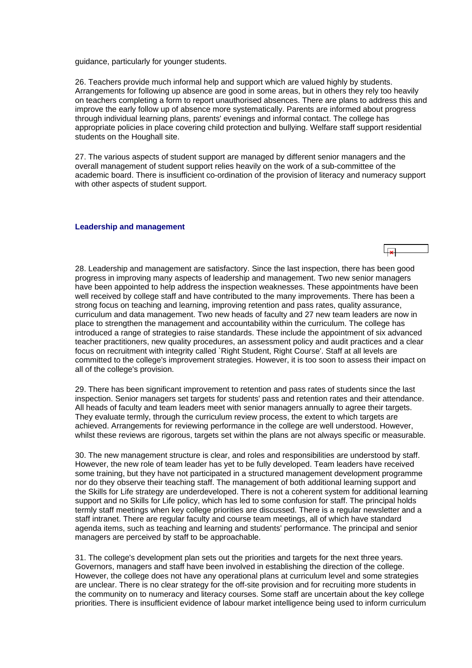<span id="page-12-0"></span>guidance, particularly for younger students.

26. Teachers provide much informal help and support which are valued highly by students. Arrangements for following up absence are good in some areas, but in others they rely too heavily on teachers completing a form to report unauthorised absences. There are plans to address this and improve the early follow up of absence more systematically. Parents are informed about progress through individual learning plans, parents' evenings and informal contact. The college has appropriate policies in place covering child protection and bullying. Welfare staff support residential students on the Houghall site.

27. The various aspects of student support are managed by different senior managers and the overall management of student support relies heavily on the work of a sub-committee of the academic board. There is insufficient co-ordination of the provision of literacy and numeracy support with other aspects of student support.

#### **Leadership and management**

28. Leadership and management are satisfactory. Since the last inspection, there has been good progress in improving many aspects of leadership and management. Two new senior managers have been appointed to help address the inspection weaknesses. These appointments have been well received by college staff and have contributed to the many improvements. There has been a strong focus on teaching and learning, improving retention and pass rates, quality assurance, curriculum and data management. Two new heads of faculty and 27 new team leaders are now in place to strengthen the management and accountability within the curriculum. The college has introduced a range of strategies to raise standards. These include the appointment of six advanced teacher practitioners, new quality procedures, an assessment policy and audit practices and a clear focus on recruitment with integrity called `Right Student, Right Course'. Staff at all levels are committed to the college's improvement strategies. However, it is too soon to assess their impact on all of the college's provision.

29. There has been significant improvement to retention and pass rates of students since the last inspection. Senior managers set targets for students' pass and retention rates and their attendance. All heads of faculty and team leaders meet with senior managers annually to agree their targets. They evaluate termly, through the curriculum review process, the extent to which targets are achieved. Arrangements for reviewing performance in the college are well understood. However, whilst these reviews are rigorous, targets set within the plans are not always specific or measurable.

30. The new management structure is clear, and roles and responsibilities are understood by staff. However, the new role of team leader has yet to be fully developed. Team leaders have received some training, but they have not participated in a structured management development programme nor do they observe their teaching staff. The management of both additional learning support and the Skills for Life strategy are underdeveloped. There is not a coherent system for additional learning support and no Skills for Life policy, which has led to some confusion for staff. The principal holds termly staff meetings when key college priorities are discussed. There is a regular newsletter and a staff intranet. There are regular faculty and course team meetings, all of which have standard agenda items, such as teaching and learning and students' performance. The principal and senior managers are perceived by staff to be approachable.

31. The college's development plan sets out the priorities and targets for the next three years. Governors, managers and staff have been involved in establishing the direction of the college. However, the college does not have any operational plans at curriculum level and some strategies are unclear. There is no clear strategy for the off-site provision and for recruiting more students in the community on to numeracy and literacy courses. Some staff are uncertain about the key college priorities. There is insufficient evidence of labour market intelligence being used to inform curriculum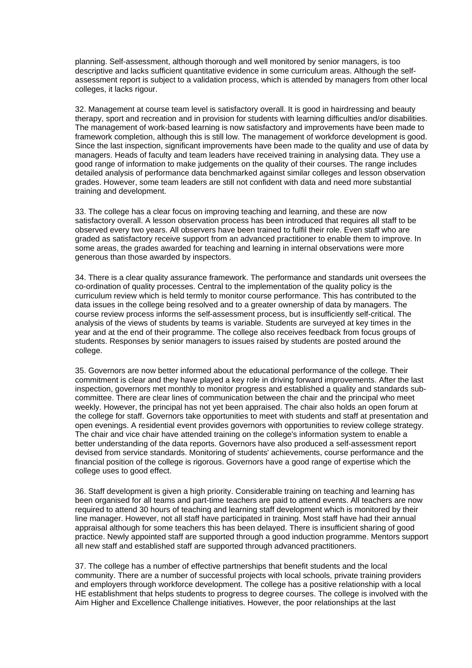planning. Self-assessment, although thorough and well monitored by senior managers, is too descriptive and lacks sufficient quantitative evidence in some curriculum areas. Although the selfassessment report is subject to a validation process, which is attended by managers from other local colleges, it lacks rigour.

32. Management at course team level is satisfactory overall. It is good in hairdressing and beauty therapy, sport and recreation and in provision for students with learning difficulties and/or disabilities. The management of work-based learning is now satisfactory and improvements have been made to framework completion, although this is still low. The management of workforce development is good. Since the last inspection, significant improvements have been made to the quality and use of data by managers. Heads of faculty and team leaders have received training in analysing data. They use a good range of information to make judgements on the quality of their courses. The range includes detailed analysis of performance data benchmarked against similar colleges and lesson observation grades. However, some team leaders are still not confident with data and need more substantial training and development.

33. The college has a clear focus on improving teaching and learning, and these are now satisfactory overall. A lesson observation process has been introduced that requires all staff to be observed every two years. All observers have been trained to fulfil their role. Even staff who are graded as satisfactory receive support from an advanced practitioner to enable them to improve. In some areas, the grades awarded for teaching and learning in internal observations were more generous than those awarded by inspectors.

34. There is a clear quality assurance framework. The performance and standards unit oversees the co-ordination of quality processes. Central to the implementation of the quality policy is the curriculum review which is held termly to monitor course performance. This has contributed to the data issues in the college being resolved and to a greater ownership of data by managers. The course review process informs the self-assessment process, but is insufficiently self-critical. The analysis of the views of students by teams is variable. Students are surveyed at key times in the year and at the end of their programme. The college also receives feedback from focus groups of students. Responses by senior managers to issues raised by students are posted around the college.

35. Governors are now better informed about the educational performance of the college. Their commitment is clear and they have played a key role in driving forward improvements. After the last inspection, governors met monthly to monitor progress and established a quality and standards subcommittee. There are clear lines of communication between the chair and the principal who meet weekly. However, the principal has not yet been appraised. The chair also holds an open forum at the college for staff. Governors take opportunities to meet with students and staff at presentation and open evenings. A residential event provides governors with opportunities to review college strategy. The chair and vice chair have attended training on the college's information system to enable a better understanding of the data reports. Governors have also produced a self-assessment report devised from service standards. Monitoring of students' achievements, course performance and the financial position of the college is rigorous. Governors have a good range of expertise which the college uses to good effect.

36. Staff development is given a high priority. Considerable training on teaching and learning has been organised for all teams and part-time teachers are paid to attend events. All teachers are now required to attend 30 hours of teaching and learning staff development which is monitored by their line manager. However, not all staff have participated in training. Most staff have had their annual appraisal although for some teachers this has been delayed. There is insufficient sharing of good practice. Newly appointed staff are supported through a good induction programme. Mentors support all new staff and established staff are supported through advanced practitioners.

37. The college has a number of effective partnerships that benefit students and the local community. There are a number of successful projects with local schools, private training providers and employers through workforce development. The college has a positive relationship with a local HE establishment that helps students to progress to degree courses. The college is involved with the Aim Higher and Excellence Challenge initiatives. However, the poor relationships at the last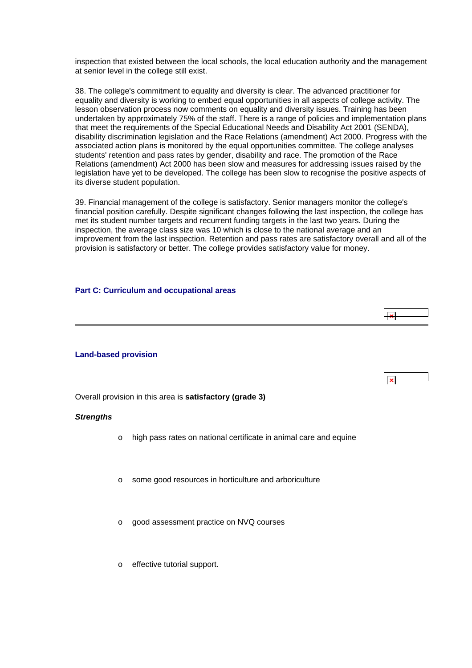<span id="page-14-0"></span>inspection that existed between the local schools, the local education authority and the management at senior level in the college still exist.

38. The college's commitment to equality and diversity is clear. The advanced practitioner for equality and diversity is working to embed equal opportunities in all aspects of college activity. The lesson observation process now comments on equality and diversity issues. Training has been undertaken by approximately 75% of the staff. There is a range of policies and implementation plans that meet the requirements of the Special Educational Needs and Disability Act 2001 (SENDA), disability discrimination legislation and the Race Relations (amendment) Act 2000. Progress with the associated action plans is monitored by the equal opportunities committee. The college analyses students' retention and pass rates by gender, disability and race. The promotion of the Race Relations (amendment) Act 2000 has been slow and measures for addressing issues raised by the legislation have yet to be developed. The college has been slow to recognise the positive aspects of its diverse student population.

39. Financial management of the college is satisfactory. Senior managers monitor the college's financial position carefully. Despite significant changes following the last inspection, the college has met its student number targets and recurrent funding targets in the last two years. During the inspection, the average class size was 10 which is close to the national average and an improvement from the last inspection. Retention and pass rates are satisfactory overall and all of the provision is satisfactory or better. The college provides satisfactory value for money.

لبجابا

# **Part C: Curriculum and occupational areas**

# **Land-based provision**

Overall provision in this area is **satisfactory (grade 3)**

#### *Strengths*

- o high pass rates on national certificate in animal care and equine
- o some good resources in horticulture and arboriculture
- o good assessment practice on NVQ courses
- o effective tutorial support.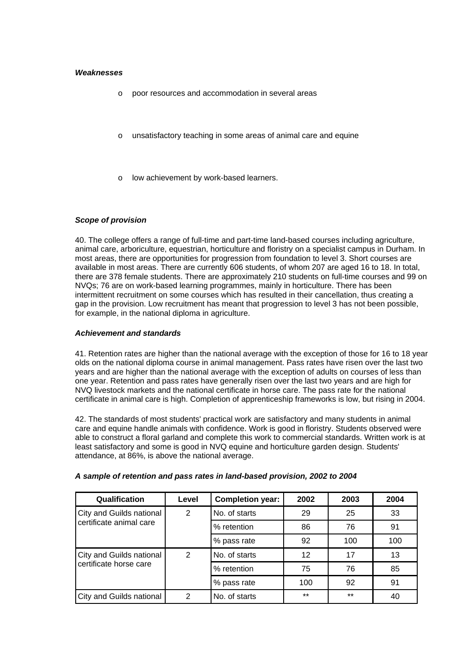# *Weaknesses*

- o poor resources and accommodation in several areas
- unsatisfactory teaching in some areas of animal care and equine
- low achievement by work-based learners.

# *Scope of provision*

40. The college offers a range of full-time and part-time land-based courses including agriculture, animal care, arboriculture, equestrian, horticulture and floristry on a specialist campus in Durham. In most areas, there are opportunities for progression from foundation to level 3. Short courses are available in most areas. There are currently 606 students, of whom 207 are aged 16 to 18. In total, there are 378 female students. There are approximately 210 students on full-time courses and 99 on NVQs; 76 are on work-based learning programmes, mainly in horticulture. There has been intermittent recruitment on some courses which has resulted in their cancellation, thus creating a gap in the provision. Low recruitment has meant that progression to level 3 has not been possible, for example, in the national diploma in agriculture.

# *Achievement and standards*

41. Retention rates are higher than the national average with the exception of those for 16 to 18 year olds on the national diploma course in animal management. Pass rates have risen over the last two years and are higher than the national average with the exception of adults on courses of less than one year. Retention and pass rates have generally risen over the last two years and are high for NVQ livestock markets and the national certificate in horse care. The pass rate for the national certificate in animal care is high. Completion of apprenticeship frameworks is low, but rising in 2004.

42. The standards of most students' practical work are satisfactory and many students in animal care and equine handle animals with confidence. Work is good in floristry. Students observed were able to construct a floral garland and complete this work to commercial standards. Written work is at least satisfactory and some is good in NVQ equine and horticulture garden design. Students' attendance, at 86%, is above the national average.

| Qualification                                      | Level | <b>Completion year:</b> | 2002  | 2003  | 2004 |
|----------------------------------------------------|-------|-------------------------|-------|-------|------|
| City and Guilds national                           | 2     | No. of starts           | 29    | 25    | 33   |
| certificate animal care                            |       | % retention             | 86    | 76    | 91   |
|                                                    |       | % pass rate             | 92    | 100   | 100  |
| City and Guilds national<br>certificate horse care | 2     | No. of starts           | 12    | 17    | 13   |
|                                                    |       | % retention             | 75    | 76    | 85   |
|                                                    |       | % pass rate             | 100   | 92    | 91   |
| City and Guilds national                           | 2     | No. of starts           | $***$ | $***$ | 40   |

# *A sample of retention and pass rates in land-based provision, 2002 to 2004*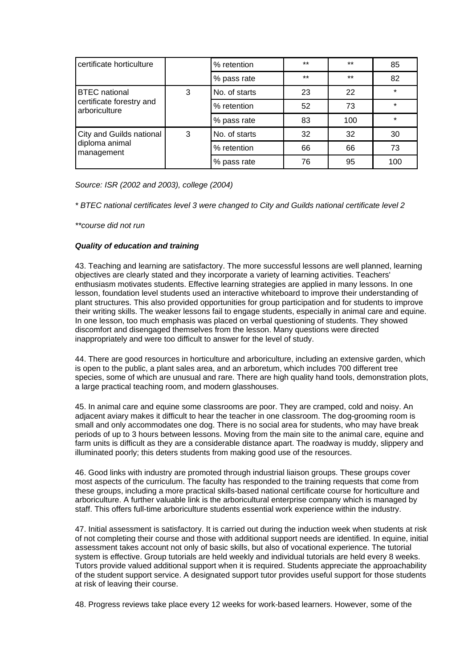| certificate horticulture                                          |   | % retention   | $***$ | $***$ | 85      |
|-------------------------------------------------------------------|---|---------------|-------|-------|---------|
|                                                                   |   | % pass rate   | $***$ | $***$ | 82      |
| <b>BTEC</b> national<br>certificate forestry and<br>arboriculture | 3 | No. of starts | 23    | 22    | $\star$ |
|                                                                   |   | % retention   | 52    | 73    | $\star$ |
|                                                                   |   | % pass rate   | 83    | 100   | $\star$ |
| City and Guilds national                                          | 3 | No. of starts | 32    | 32    | 30      |
| diploma animal<br>management                                      |   | % retention   | 66    | 66    | 73      |
|                                                                   |   | % pass rate   | 76    | 95    | 100     |

*Source: ISR (2002 and 2003), college (2004)*

*\* BTEC national certificates level 3 were changed to City and Guilds national certificate level 2*

*\*\*course did not run*

# *Quality of education and training*

43. Teaching and learning are satisfactory. The more successful lessons are well planned, learning objectives are clearly stated and they incorporate a variety of learning activities. Teachers' enthusiasm motivates students. Effective learning strategies are applied in many lessons. In one lesson, foundation level students used an interactive whiteboard to improve their understanding of plant structures. This also provided opportunities for group participation and for students to improve their writing skills. The weaker lessons fail to engage students, especially in animal care and equine. In one lesson, too much emphasis was placed on verbal questioning of students. They showed discomfort and disengaged themselves from the lesson. Many questions were directed inappropriately and were too difficult to answer for the level of study.

44. There are good resources in horticulture and arboriculture, including an extensive garden, which is open to the public, a plant sales area, and an arboretum, which includes 700 different tree species, some of which are unusual and rare. There are high quality hand tools, demonstration plots, a large practical teaching room, and modern glasshouses.

45. In animal care and equine some classrooms are poor. They are cramped, cold and noisy. An adjacent aviary makes it difficult to hear the teacher in one classroom. The dog-grooming room is small and only accommodates one dog. There is no social area for students, who may have break periods of up to 3 hours between lessons. Moving from the main site to the animal care, equine and farm units is difficult as they are a considerable distance apart. The roadway is muddy, slippery and illuminated poorly; this deters students from making good use of the resources.

46. Good links with industry are promoted through industrial liaison groups. These groups cover most aspects of the curriculum. The faculty has responded to the training requests that come from these groups, including a more practical skills-based national certificate course for horticulture and arboriculture. A further valuable link is the arboricultural enterprise company which is managed by staff. This offers full-time arboriculture students essential work experience within the industry.

47. Initial assessment is satisfactory. It is carried out during the induction week when students at risk of not completing their course and those with additional support needs are identified. In equine, initial assessment takes account not only of basic skills, but also of vocational experience. The tutorial system is effective. Group tutorials are held weekly and individual tutorials are held every 8 weeks. Tutors provide valued additional support when it is required. Students appreciate the approachability of the student support service. A designated support tutor provides useful support for those students at risk of leaving their course.

48. Progress reviews take place every 12 weeks for work-based learners. However, some of the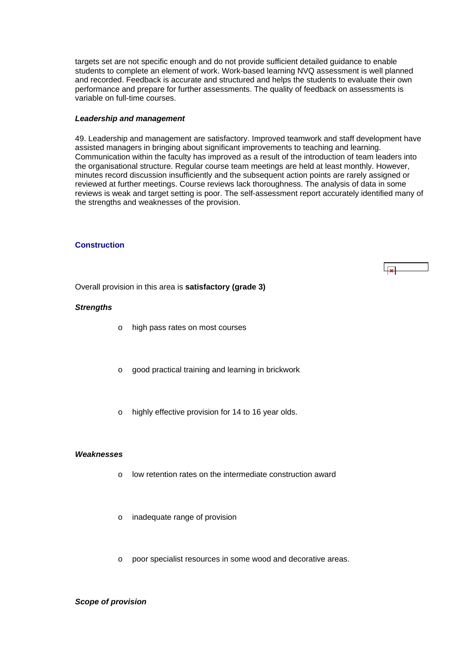<span id="page-17-0"></span>targets set are not specific enough and do not provide sufficient detailed guidance to enable students to complete an element of work. Work-based learning NVQ assessment is well planned and recorded. Feedback is accurate and structured and helps the students to evaluate their own performance and prepare for further assessments. The quality of feedback on assessments is variable on full-time courses.

### *Leadership and management*

49. Leadership and management are satisfactory. Improved teamwork and staff development have assisted managers in bringing about significant improvements to teaching and learning. Communication within the faculty has improved as a result of the introduction of team leaders into the organisational structure. Regular course team meetings are held at least monthly. However, minutes record discussion insufficiently and the subsequent action points are rarely assigned or reviewed at further meetings. Course reviews lack thoroughness. The analysis of data in some reviews is weak and target setting is poor. The self-assessment report accurately identified many of the strengths and weaknesses of the provision.

# **Construction**

Overall provision in this area is **satisfactory (grade 3)**

### *Strengths*

- o high pass rates on most courses
- o good practical training and learning in brickwork
- o highly effective provision for 14 to 16 year olds.

#### *Weaknesses*

- $\circ$  low retention rates on the intermediate construction award
- o inadequate range of provision
- o poor specialist resources in some wood and decorative areas.

# *Scope of provision*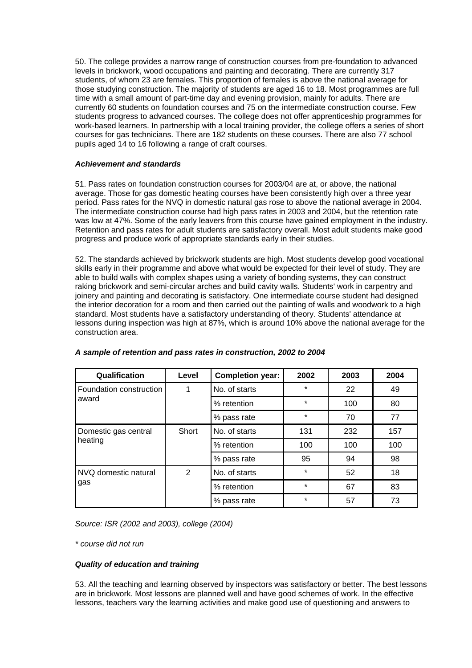50. The college provides a narrow range of construction courses from pre-foundation to advanced levels in brickwork, wood occupations and painting and decorating. There are currently 317 students, of whom 23 are females. This proportion of females is above the national average for those studying construction. The majority of students are aged 16 to 18. Most programmes are full time with a small amount of part-time day and evening provision, mainly for adults. There are currently 60 students on foundation courses and 75 on the intermediate construction course. Few students progress to advanced courses. The college does not offer apprenticeship programmes for work-based learners. In partnership with a local training provider, the college offers a series of short courses for gas technicians. There are 182 students on these courses. There are also 77 school pupils aged 14 to 16 following a range of craft courses.

# *Achievement and standards*

51. Pass rates on foundation construction courses for 2003/04 are at, or above, the national average. Those for gas domestic heating courses have been consistently high over a three year period. Pass rates for the NVQ in domestic natural gas rose to above the national average in 2004. The intermediate construction course had high pass rates in 2003 and 2004, but the retention rate was low at 47%. Some of the early leavers from this course have gained employment in the industry. Retention and pass rates for adult students are satisfactory overall. Most adult students make good progress and produce work of appropriate standards early in their studies.

52. The standards achieved by brickwork students are high. Most students develop good vocational skills early in their programme and above what would be expected for their level of study. They are able to build walls with complex shapes using a variety of bonding systems, they can construct raking brickwork and semi-circular arches and build cavity walls. Students' work in carpentry and joinery and painting and decorating is satisfactory. One intermediate course student had designed the interior decoration for a room and then carried out the painting of walls and woodwork to a high standard. Most students have a satisfactory understanding of theory. Students' attendance at lessons during inspection was high at 87%, which is around 10% above the national average for the construction area.

| Qualification                   | Level | <b>Completion year:</b> | 2002    | 2003 | 2004 |
|---------------------------------|-------|-------------------------|---------|------|------|
| Foundation construction         | 1     | No. of starts           | $\star$ | 22   | 49   |
| award                           |       | % retention             | $\star$ | 100  | 80   |
|                                 |       | % pass rate             | $\star$ | 70   | 77   |
| Domestic gas central<br>heating | Short | No. of starts           | 131     | 232  | 157  |
|                                 |       | % retention             | 100     | 100  | 100  |
|                                 |       | % pass rate             | 95      | 94   | 98   |
| NVQ domestic natural<br>gas     | 2     | No. of starts           | $\star$ | 52   | 18   |
|                                 |       | % retention             | $\star$ | 67   | 83   |
|                                 |       | % pass rate             | $\star$ | 57   | 73   |

# *A sample of retention and pass rates in construction, 2002 to 2004*

*Source: ISR (2002 and 2003), college (2004)*

*\* course did not run*

# *Quality of education and training*

53. All the teaching and learning observed by inspectors was satisfactory or better. The best lessons are in brickwork. Most lessons are planned well and have good schemes of work. In the effective lessons, teachers vary the learning activities and make good use of questioning and answers to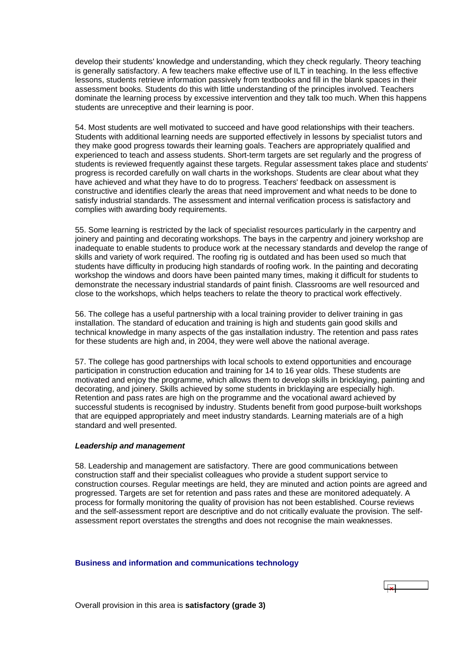<span id="page-19-0"></span>develop their students' knowledge and understanding, which they check regularly. Theory teaching is generally satisfactory. A few teachers make effective use of ILT in teaching. In the less effective lessons, students retrieve information passively from textbooks and fill in the blank spaces in their assessment books. Students do this with little understanding of the principles involved. Teachers dominate the learning process by excessive intervention and they talk too much. When this happens students are unreceptive and their learning is poor.

54. Most students are well motivated to succeed and have good relationships with their teachers. Students with additional learning needs are supported effectively in lessons by specialist tutors and they make good progress towards their learning goals. Teachers are appropriately qualified and experienced to teach and assess students. Short-term targets are set regularly and the progress of students is reviewed frequently against these targets. Regular assessment takes place and students' progress is recorded carefully on wall charts in the workshops. Students are clear about what they have achieved and what they have to do to progress. Teachers' feedback on assessment is constructive and identifies clearly the areas that need improvement and what needs to be done to satisfy industrial standards. The assessment and internal verification process is satisfactory and complies with awarding body requirements.

55. Some learning is restricted by the lack of specialist resources particularly in the carpentry and joinery and painting and decorating workshops. The bays in the carpentry and joinery workshop are inadequate to enable students to produce work at the necessary standards and develop the range of skills and variety of work required. The roofing rig is outdated and has been used so much that students have difficulty in producing high standards of roofing work. In the painting and decorating workshop the windows and doors have been painted many times, making it difficult for students to demonstrate the necessary industrial standards of paint finish. Classrooms are well resourced and close to the workshops, which helps teachers to relate the theory to practical work effectively.

56. The college has a useful partnership with a local training provider to deliver training in gas installation. The standard of education and training is high and students gain good skills and technical knowledge in many aspects of the gas installation industry. The retention and pass rates for these students are high and, in 2004, they were well above the national average.

57. The college has good partnerships with local schools to extend opportunities and encourage participation in construction education and training for 14 to 16 year olds. These students are motivated and enjoy the programme, which allows them to develop skills in bricklaying, painting and decorating, and joinery. Skills achieved by some students in bricklaying are especially high. Retention and pass rates are high on the programme and the vocational award achieved by successful students is recognised by industry. Students benefit from good purpose-built workshops that are equipped appropriately and meet industry standards. Learning materials are of a high standard and well presented.

# *Leadership and management*

58. Leadership and management are satisfactory. There are good communications between construction staff and their specialist colleagues who provide a student support service to construction courses. Regular meetings are held, they are minuted and action points are agreed and progressed. Targets are set for retention and pass rates and these are monitored adequately. A process for formally monitoring the quality of provision has not been established. Course reviews and the self-assessment report are descriptive and do not critically evaluate the provision. The selfassessment report overstates the strengths and does not recognise the main weaknesses.

**Business and information and communications technology**

Overall provision in this area is **satisfactory (grade 3)**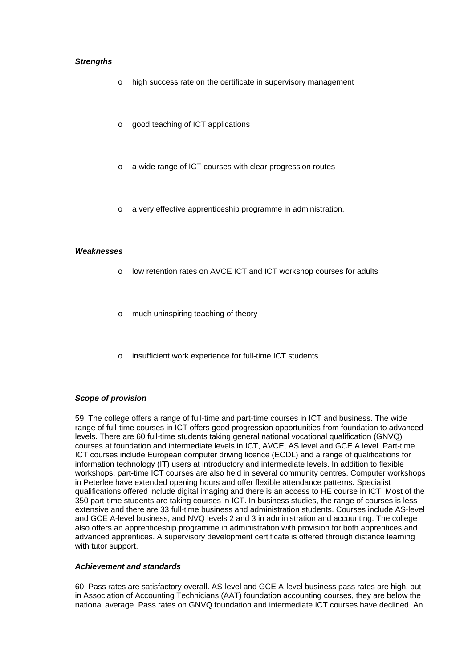# *Strengths*

- o high success rate on the certificate in supervisory management
- o good teaching of ICT applications
- o a wide range of ICT courses with clear progression routes
- o a very effective apprenticeship programme in administration.

# *Weaknesses*

- o low retention rates on AVCE ICT and ICT workshop courses for adults
- o much uninspiring teaching of theory
- o insufficient work experience for full-time ICT students.

# *Scope of provision*

59. The college offers a range of full-time and part-time courses in ICT and business. The wide range of full-time courses in ICT offers good progression opportunities from foundation to advanced levels. There are 60 full-time students taking general national vocational qualification (GNVQ) courses at foundation and intermediate levels in ICT, AVCE, AS level and GCE A level. Part-time ICT courses include European computer driving licence (ECDL) and a range of qualifications for information technology (IT) users at introductory and intermediate levels. In addition to flexible workshops, part-time ICT courses are also held in several community centres. Computer workshops in Peterlee have extended opening hours and offer flexible attendance patterns. Specialist qualifications offered include digital imaging and there is an access to HE course in ICT. Most of the 350 part-time students are taking courses in ICT. In business studies, the range of courses is less extensive and there are 33 full-time business and administration students. Courses include AS-level and GCE A-level business, and NVQ levels 2 and 3 in administration and accounting. The college also offers an apprenticeship programme in administration with provision for both apprentices and advanced apprentices. A supervisory development certificate is offered through distance learning with tutor support.

# *Achievement and standards*

60. Pass rates are satisfactory overall. AS-level and GCE A-level business pass rates are high, but in Association of Accounting Technicians (AAT) foundation accounting courses, they are below the national average. Pass rates on GNVQ foundation and intermediate ICT courses have declined. An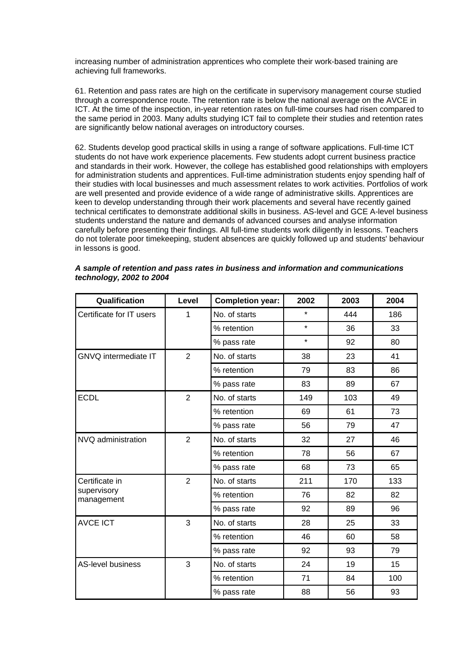increasing number of administration apprentices who complete their work-based training are achieving full frameworks.

61. Retention and pass rates are high on the certificate in supervisory management course studied through a correspondence route. The retention rate is below the national average on the AVCE in ICT. At the time of the inspection, in-year retention rates on full-time courses had risen compared to the same period in 2003. Many adults studying ICT fail to complete their studies and retention rates are significantly below national averages on introductory courses.

62. Students develop good practical skills in using a range of software applications. Full-time ICT students do not have work experience placements. Few students adopt current business practice and standards in their work. However, the college has established good relationships with employers for administration students and apprentices. Full-time administration students enjoy spending half of their studies with local businesses and much assessment relates to work activities. Portfolios of work are well presented and provide evidence of a wide range of administrative skills. Apprentices are keen to develop understanding through their work placements and several have recently gained technical certificates to demonstrate additional skills in business. AS-level and GCE A-level business students understand the nature and demands of advanced courses and analyse information carefully before presenting their findings. All full-time students work diligently in lessons. Teachers do not tolerate poor timekeeping, student absences are quickly followed up and students' behaviour in lessons is good.

| Qualification                               | Level          | <b>Completion year:</b> | 2002    | 2003 | 2004 |
|---------------------------------------------|----------------|-------------------------|---------|------|------|
| Certificate for IT users                    | 1              | No. of starts           | $\star$ | 444  | 186  |
|                                             |                | % retention             | $\star$ | 36   | 33   |
|                                             |                | % pass rate             | $\star$ | 92   | 80   |
| GNVQ intermediate IT                        | $\overline{2}$ | No. of starts           | 38      | 23   | 41   |
|                                             |                | % retention             | 79      | 83   | 86   |
|                                             |                | % pass rate             | 83      | 89   | 67   |
| <b>ECDL</b>                                 | $\overline{2}$ | No. of starts           | 149     | 103  | 49   |
|                                             |                | % retention             | 69      | 61   | 73   |
|                                             |                | % pass rate             | 56      | 79   | 47   |
| NVQ administration                          | $\overline{2}$ | No. of starts           | 32      | 27   | 46   |
|                                             |                | % retention             | 78      | 56   | 67   |
|                                             |                | % pass rate             | 68      | 73   | 65   |
| Certificate in<br>supervisory<br>management | $\overline{2}$ | No. of starts           | 211     | 170  | 133  |
|                                             |                | % retention             | 76      | 82   | 82   |
|                                             |                | % pass rate             | 92      | 89   | 96   |
| <b>AVCE ICT</b>                             | 3              | No. of starts           | 28      | 25   | 33   |
|                                             |                | % retention             | 46      | 60   | 58   |
|                                             |                | % pass rate             | 92      | 93   | 79   |
| <b>AS-level business</b>                    | 3              | No. of starts           | 24      | 19   | 15   |
|                                             |                | % retention             | 71      | 84   | 100  |
|                                             |                | % pass rate             | 88      | 56   | 93   |

*A sample of retention and pass rates in business and information and communications technology, 2002 to 2004*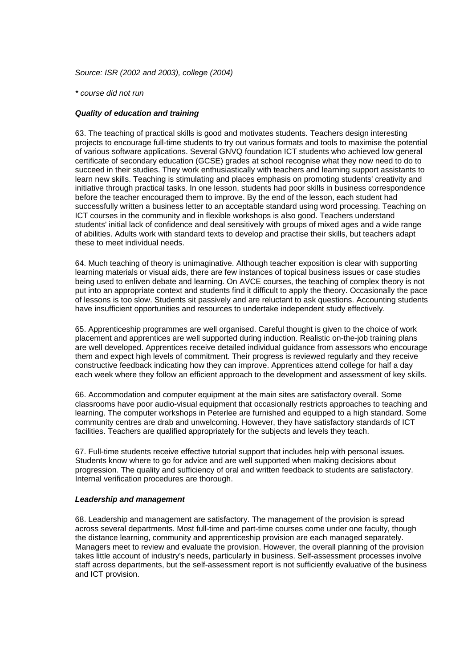<span id="page-22-0"></span>*Source: ISR (2002 and 2003), college (2004)*

*\* course did not run*

# *Quality of education and training*

63. The teaching of practical skills is good and motivates students. Teachers design interesting projects to encourage full-time students to try out various formats and tools to maximise the potential of various software applications. Several GNVQ foundation ICT students who achieved low general certificate of secondary education (GCSE) grades at school recognise what they now need to do to succeed in their studies. They work enthusiastically with teachers and learning support assistants to learn new skills. Teaching is stimulating and places emphasis on promoting students' creativity and initiative through practical tasks. In one lesson, students had poor skills in business correspondence before the teacher encouraged them to improve. By the end of the lesson, each student had successfully written a business letter to an acceptable standard using word processing. Teaching on ICT courses in the community and in flexible workshops is also good. Teachers understand students' initial lack of confidence and deal sensitively with groups of mixed ages and a wide range of abilities. Adults work with standard texts to develop and practise their skills, but teachers adapt these to meet individual needs.

64. Much teaching of theory is unimaginative. Although teacher exposition is clear with supporting learning materials or visual aids, there are few instances of topical business issues or case studies being used to enliven debate and learning. On AVCE courses, the teaching of complex theory is not put into an appropriate context and students find it difficult to apply the theory. Occasionally the pace of lessons is too slow. Students sit passively and are reluctant to ask questions. Accounting students have insufficient opportunities and resources to undertake independent study effectively.

65. Apprenticeship programmes are well organised. Careful thought is given to the choice of work placement and apprentices are well supported during induction. Realistic on-the-job training plans are well developed. Apprentices receive detailed individual guidance from assessors who encourage them and expect high levels of commitment. Their progress is reviewed regularly and they receive constructive feedback indicating how they can improve. Apprentices attend college for half a day each week where they follow an efficient approach to the development and assessment of key skills.

66. Accommodation and computer equipment at the main sites are satisfactory overall. Some classrooms have poor audio-visual equipment that occasionally restricts approaches to teaching and learning. The computer workshops in Peterlee are furnished and equipped to a high standard. Some community centres are drab and unwelcoming. However, they have satisfactory standards of ICT facilities. Teachers are qualified appropriately for the subjects and levels they teach.

67. Full-time students receive effective tutorial support that includes help with personal issues. Students know where to go for advice and are well supported when making decisions about progression. The quality and sufficiency of oral and written feedback to students are satisfactory. Internal verification procedures are thorough.

# *Leadership and management*

68. Leadership and management are satisfactory. The management of the provision is spread across several departments. Most full-time and part-time courses come under one faculty, though the distance learning, community and apprenticeship provision are each managed separately. Managers meet to review and evaluate the provision. However, the overall planning of the provision takes little account of industry's needs, particularly in business. Self-assessment processes involve staff across departments, but the self-assessment report is not sufficiently evaluative of the business and ICT provision.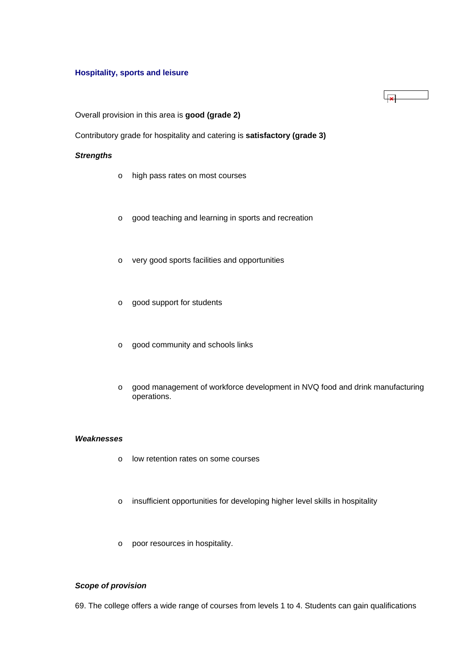# **Hospitality, sports and leisure**

Overall provision in this area is **good (grade 2)**

Contributory grade for hospitality and catering is **satisfactory (grade 3)**

# *Strengths*

- o high pass rates on most courses
- o good teaching and learning in sports and recreation
- o very good sports facilities and opportunities
- o good support for students
- o good community and schools links
- o good management of workforce development in NVQ food and drink manufacturing operations.

# *Weaknesses*

- o low retention rates on some courses
- o insufficient opportunities for developing higher level skills in hospitality
- o poor resources in hospitality.

# *Scope of provision*

69. The college offers a wide range of courses from levels 1 to 4. Students can gain qualifications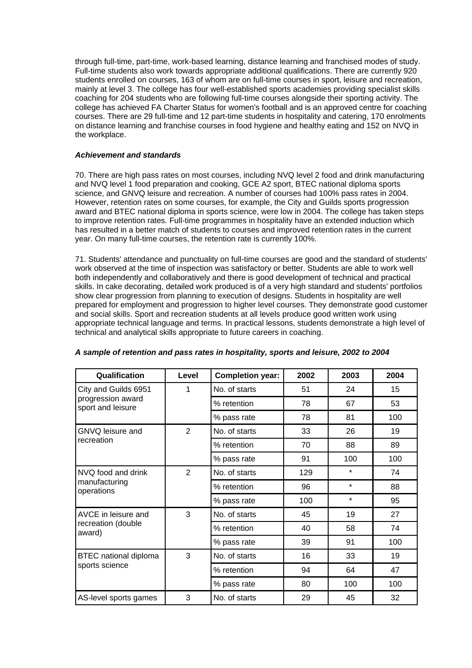through full-time, part-time, work-based learning, distance learning and franchised modes of study. Full-time students also work towards appropriate additional qualifications. There are currently 920 students enrolled on courses, 163 of whom are on full-time courses in sport, leisure and recreation, mainly at level 3. The college has four well-established sports academies providing specialist skills coaching for 204 students who are following full-time courses alongside their sporting activity. The college has achieved FA Charter Status for women's football and is an approved centre for coaching courses. There are 29 full-time and 12 part-time students in hospitality and catering, 170 enrolments on distance learning and franchise courses in food hygiene and healthy eating and 152 on NVQ in the workplace.

# *Achievement and standards*

70. There are high pass rates on most courses, including NVQ level 2 food and drink manufacturing and NVQ level 1 food preparation and cooking, GCE A2 sport, BTEC national diploma sports science, and GNVQ leisure and recreation. A number of courses had 100% pass rates in 2004. However, retention rates on some courses, for example, the City and Guilds sports progression award and BTEC national diploma in sports science, were low in 2004. The college has taken steps to improve retention rates. Full-time programmes in hospitality have an extended induction which has resulted in a better match of students to courses and improved retention rates in the current year. On many full-time courses, the retention rate is currently 100%.

71. Students' attendance and punctuality on full-time courses are good and the standard of students' work observed at the time of inspection was satisfactory or better. Students are able to work well both independently and collaboratively and there is good development of technical and practical skills. In cake decorating, detailed work produced is of a very high standard and students' portfolios show clear progression from planning to execution of designs. Students in hospitality are well prepared for employment and progression to higher level courses. They demonstrate good customer and social skills. Sport and recreation students at all levels produce good written work using appropriate technical language and terms. In practical lessons, students demonstrate a high level of technical and analytical skills appropriate to future careers in coaching.

| Qualification                          | Level | <b>Completion year:</b> | 2002 | 2003    | 2004 |
|----------------------------------------|-------|-------------------------|------|---------|------|
| City and Guilds 6951                   | 1     | No. of starts           | 51   | 24      | 15   |
| progression award<br>sport and leisure |       | % retention             | 78   | 67      | 53   |
|                                        |       | % pass rate             | 78   | 81      | 100  |
| GNVQ leisure and                       | 2     | No. of starts           | 33   | 26      | 19   |
| recreation                             |       | % retention             | 70   | 88      | 89   |
|                                        |       | % pass rate             | 91   | 100     | 100  |
| NVQ food and drink                     | 2     | No. of starts           | 129  | $\star$ | 74   |
| manufacturing<br>operations            |       | % retention             | 96   | $\star$ | 88   |
|                                        |       | % pass rate             | 100  | $\star$ | 95   |
| AVCE in leisure and                    | 3     | No. of starts           | 45   | 19      | 27   |
| recreation (double<br>award)           |       | % retention             | 40   | 58      | 74   |
|                                        |       | % pass rate             | 39   | 91      | 100  |
| <b>BTEC</b> national diploma           | 3     | No. of starts           | 16   | 33      | 19   |
| sports science                         |       | % retention             | 94   | 64      | 47   |
|                                        |       | % pass rate             | 80   | 100     | 100  |
| AS-level sports games                  | 3     | No. of starts           | 29   | 45      | 32   |

# *A sample of retention and pass rates in hospitality, sports and leisure, 2002 to 2004*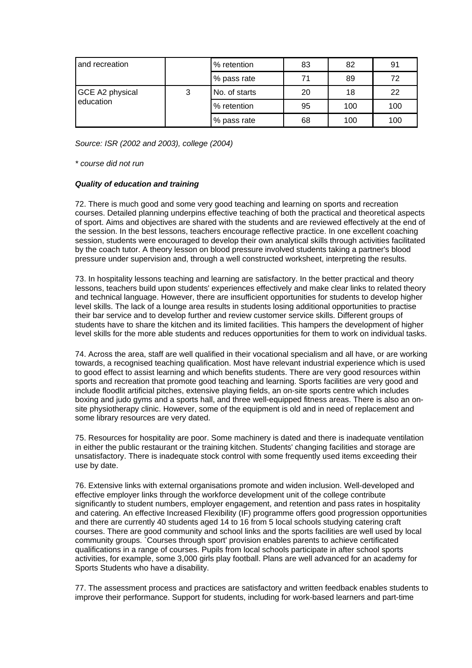| and recreation  |   | % retention   | 83 | 82  | 91  |
|-----------------|---|---------------|----|-----|-----|
|                 |   | % pass rate   | 71 | 89  | 72  |
| GCE A2 physical | 3 | No. of starts | 20 | 18  | 22  |
| education       |   | % retention   | 95 | 100 | 100 |
|                 |   | % pass rate   | 68 | 100 | 100 |

*Source: ISR (2002 and 2003), college (2004)*

*\* course did not run*

# *Quality of education and training*

72. There is much good and some very good teaching and learning on sports and recreation courses. Detailed planning underpins effective teaching of both the practical and theoretical aspects of sport. Aims and objectives are shared with the students and are reviewed effectively at the end of the session. In the best lessons, teachers encourage reflective practice. In one excellent coaching session, students were encouraged to develop their own analytical skills through activities facilitated by the coach tutor. A theory lesson on blood pressure involved students taking a partner's blood pressure under supervision and, through a well constructed worksheet, interpreting the results.

73. In hospitality lessons teaching and learning are satisfactory. In the better practical and theory lessons, teachers build upon students' experiences effectively and make clear links to related theory and technical language. However, there are insufficient opportunities for students to develop higher level skills. The lack of a lounge area results in students losing additional opportunities to practise their bar service and to develop further and review customer service skills. Different groups of students have to share the kitchen and its limited facilities. This hampers the development of higher level skills for the more able students and reduces opportunities for them to work on individual tasks.

74. Across the area, staff are well qualified in their vocational specialism and all have, or are working towards, a recognised teaching qualification. Most have relevant industrial experience which is used to good effect to assist learning and which benefits students. There are very good resources within sports and recreation that promote good teaching and learning. Sports facilities are very good and include floodlit artificial pitches, extensive playing fields, an on-site sports centre which includes boxing and judo gyms and a sports hall, and three well-equipped fitness areas. There is also an onsite physiotherapy clinic. However, some of the equipment is old and in need of replacement and some library resources are very dated.

75. Resources for hospitality are poor. Some machinery is dated and there is inadequate ventilation in either the public restaurant or the training kitchen. Students' changing facilities and storage are unsatisfactory. There is inadequate stock control with some frequently used items exceeding their use by date.

76. Extensive links with external organisations promote and widen inclusion. Well-developed and effective employer links through the workforce development unit of the college contribute significantly to student numbers, employer engagement, and retention and pass rates in hospitality and catering. An effective Increased Flexibility (IF) programme offers good progression opportunities and there are currently 40 students aged 14 to 16 from 5 local schools studying catering craft courses. There are good community and school links and the sports facilities are well used by local community groups. `Courses through sport' provision enables parents to achieve certificated qualifications in a range of courses. Pupils from local schools participate in after school sports activities, for example, some 3,000 girls play football. Plans are well advanced for an academy for Sports Students who have a disability.

77. The assessment process and practices are satisfactory and written feedback enables students to improve their performance. Support for students, including for work-based learners and part-time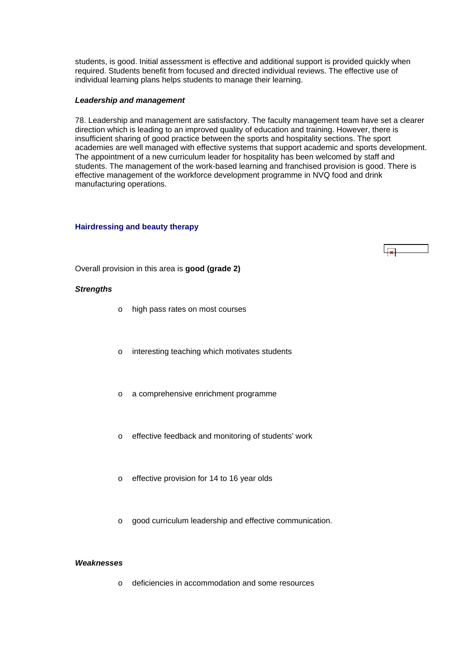<span id="page-26-0"></span>students, is good. Initial assessment is effective and additional support is provided quickly when required. Students benefit from focused and directed individual reviews. The effective use of individual learning plans helps students to manage their learning.

# *Leadership and management*

78. Leadership and management are satisfactory. The faculty management team have set a clearer direction which is leading to an improved quality of education and training. However, there is insufficient sharing of good practice between the sports and hospitality sections. The sport academies are well managed with effective systems that support academic and sports development. The appointment of a new curriculum leader for hospitality has been welcomed by staff and students. The management of the work-based learning and franchised provision is good. There is effective management of the workforce development programme in NVQ food and drink manufacturing operations.

### **Hairdressing and beauty therapy**



Overall provision in this area is **good (grade 2)**

# *Strengths*

- o high pass rates on most courses
- o interesting teaching which motivates students
- o a comprehensive enrichment programme
- o effective feedback and monitoring of students' work
- o effective provision for 14 to 16 year olds
- o good curriculum leadership and effective communication.

#### *Weaknesses*

o deficiencies in accommodation and some resources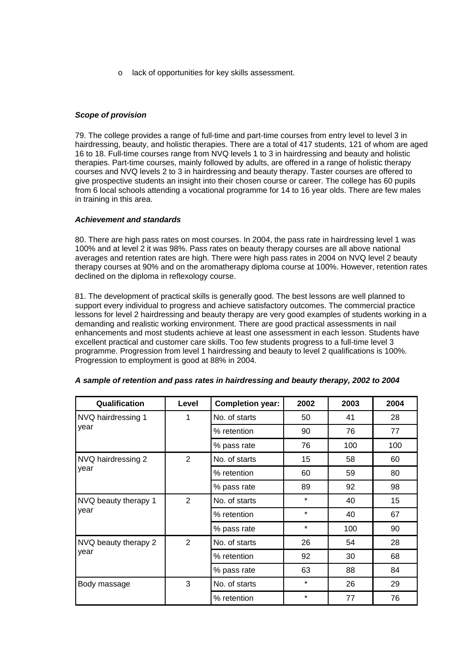o lack of opportunities for key skills assessment.

# *Scope of provision*

79. The college provides a range of full-time and part-time courses from entry level to level 3 in hairdressing, beauty, and holistic therapies. There are a total of 417 students, 121 of whom are aged 16 to 18. Full-time courses range from NVQ levels 1 to 3 in hairdressing and beauty and holistic therapies. Part-time courses, mainly followed by adults, are offered in a range of holistic therapy courses and NVQ levels 2 to 3 in hairdressing and beauty therapy. Taster courses are offered to give prospective students an insight into their chosen course or career. The college has 60 pupils from 6 local schools attending a vocational programme for 14 to 16 year olds. There are few males in training in this area.

# *Achievement and standards*

80. There are high pass rates on most courses. In 2004, the pass rate in hairdressing level 1 was 100% and at level 2 it was 98%. Pass rates on beauty therapy courses are all above national averages and retention rates are high. There were high pass rates in 2004 on NVQ level 2 beauty therapy courses at 90% and on the aromatherapy diploma course at 100%. However, retention rates declined on the diploma in reflexology course.

81. The development of practical skills is generally good. The best lessons are well planned to support every individual to progress and achieve satisfactory outcomes. The commercial practice lessons for level 2 hairdressing and beauty therapy are very good examples of students working in a demanding and realistic working environment. There are good practical assessments in nail enhancements and most students achieve at least one assessment in each lesson. Students have excellent practical and customer care skills. Too few students progress to a full-time level 3 programme. Progression from level 1 hairdressing and beauty to level 2 qualifications is 100%. Progression to employment is good at 88% in 2004.

| Qualification        | Level          | <b>Completion year:</b> | 2002    | 2003 | 2004 |
|----------------------|----------------|-------------------------|---------|------|------|
| NVQ hairdressing 1   | 1              | No. of starts           | 50      | 41   | 28   |
| year                 |                | % retention             | 90      | 76   | 77   |
|                      |                | % pass rate             | 76      | 100  | 100  |
| NVQ hairdressing 2   | $\overline{2}$ | No. of starts           | 15      | 58   | 60   |
| year                 |                | % retention             | 60      | 59   | 80   |
|                      |                | % pass rate             | 89      | 92   | 98   |
| NVQ beauty therapy 1 | $\overline{2}$ | No. of starts           | $\star$ | 40   | 15   |
| year                 |                | % retention             | $\star$ | 40   | 67   |
|                      |                | % pass rate             | $\star$ | 100  | 90   |
| NVQ beauty therapy 2 | $\overline{2}$ | No. of starts           | 26      | 54   | 28   |
| year                 |                | % retention             | 92      | 30   | 68   |
|                      |                | % pass rate             | 63      | 88   | 84   |
| Body massage         | 3              | No. of starts           | $\star$ | 26   | 29   |
|                      |                | % retention             | $\star$ | 77   | 76   |

|  | A sample of retention and pass rates in hairdressing and beauty therapy, 2002 to 2004 |  |  |  |
|--|---------------------------------------------------------------------------------------|--|--|--|
|--|---------------------------------------------------------------------------------------|--|--|--|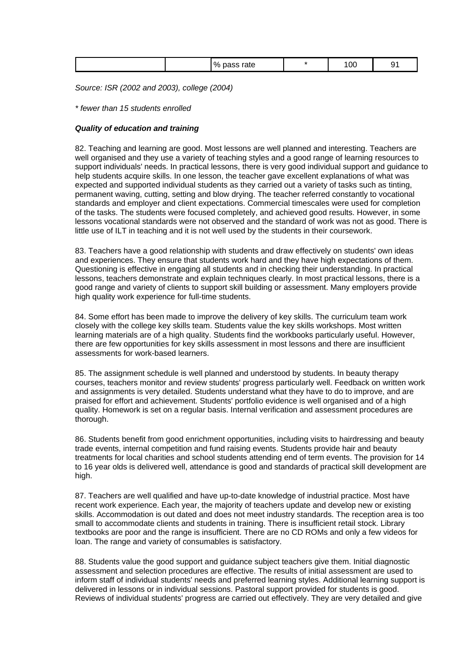| $\sim$<br>$\alpha$<br>`<br>rate<br>OC.<br>. .<br>◡<br>$\overline{ }$<br>ັ<br>$\cdots$ |
|---------------------------------------------------------------------------------------|
|---------------------------------------------------------------------------------------|

*Source: ISR (2002 and 2003), college (2004)*

*\* fewer than 15 students enrolled*

#### *Quality of education and training*

82. Teaching and learning are good. Most lessons are well planned and interesting. Teachers are well organised and they use a variety of teaching styles and a good range of learning resources to support individuals' needs. In practical lessons, there is very good individual support and guidance to help students acquire skills. In one lesson, the teacher gave excellent explanations of what was expected and supported individual students as they carried out a variety of tasks such as tinting, permanent waving, cutting, setting and blow drying. The teacher referred constantly to vocational standards and employer and client expectations. Commercial timescales were used for completion of the tasks. The students were focused completely, and achieved good results. However, in some lessons vocational standards were not observed and the standard of work was not as good. There is little use of ILT in teaching and it is not well used by the students in their coursework.

83. Teachers have a good relationship with students and draw effectively on students' own ideas and experiences. They ensure that students work hard and they have high expectations of them. Questioning is effective in engaging all students and in checking their understanding. In practical lessons, teachers demonstrate and explain techniques clearly. In most practical lessons, there is a good range and variety of clients to support skill building or assessment. Many employers provide high quality work experience for full-time students.

84. Some effort has been made to improve the delivery of key skills. The curriculum team work closely with the college key skills team. Students value the key skills workshops. Most written learning materials are of a high quality. Students find the workbooks particularly useful. However, there are few opportunities for key skills assessment in most lessons and there are insufficient assessments for work-based learners.

85. The assignment schedule is well planned and understood by students. In beauty therapy courses, teachers monitor and review students' progress particularly well. Feedback on written work and assignments is very detailed. Students understand what they have to do to improve, and are praised for effort and achievement. Students' portfolio evidence is well organised and of a high quality. Homework is set on a regular basis. Internal verification and assessment procedures are thorough.

86. Students benefit from good enrichment opportunities, including visits to hairdressing and beauty trade events, internal competition and fund raising events. Students provide hair and beauty treatments for local charities and school students attending end of term events. The provision for 14 to 16 year olds is delivered well, attendance is good and standards of practical skill development are high.

87. Teachers are well qualified and have up-to-date knowledge of industrial practice. Most have recent work experience. Each year, the majority of teachers update and develop new or existing skills. Accommodation is out dated and does not meet industry standards. The reception area is too small to accommodate clients and students in training. There is insufficient retail stock. Library textbooks are poor and the range is insufficient. There are no CD ROMs and only a few videos for loan. The range and variety of consumables is satisfactory.

88. Students value the good support and guidance subject teachers give them. Initial diagnostic assessment and selection procedures are effective. The results of initial assessment are used to inform staff of individual students' needs and preferred learning styles. Additional learning support is delivered in lessons or in individual sessions. Pastoral support provided for students is good. Reviews of individual students' progress are carried out effectively. They are very detailed and give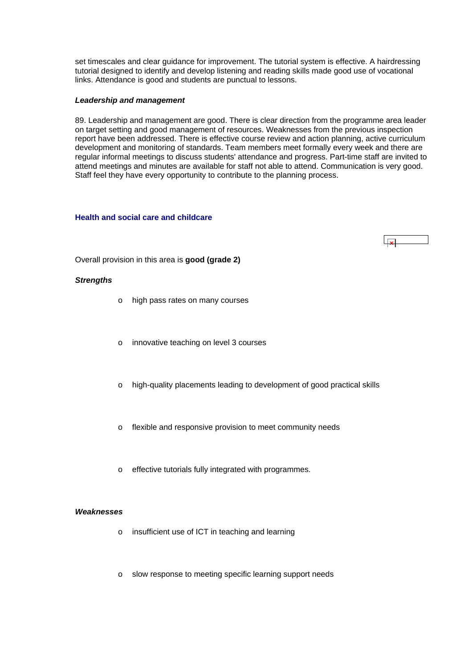<span id="page-29-0"></span>set timescales and clear guidance for improvement. The tutorial system is effective. A hairdressing tutorial designed to identify and develop listening and reading skills made good use of vocational links. Attendance is good and students are punctual to lessons.

# *Leadership and management*

89. Leadership and management are good. There is clear direction from the programme area leader on target setting and good management of resources. Weaknesses from the previous inspection report have been addressed. There is effective course review and action planning, active curriculum development and monitoring of standards. Team members meet formally every week and there are regular informal meetings to discuss students' attendance and progress. Part-time staff are invited to attend meetings and minutes are available for staff not able to attend. Communication is very good. Staff feel they have every opportunity to contribute to the planning process.

# **Health and social care and childcare**

Overall provision in this area is **good (grade 2)**

# *Strengths*

- o high pass rates on many courses
- o innovative teaching on level 3 courses
- o high-quality placements leading to development of good practical skills
- o flexible and responsive provision to meet community needs
- o effective tutorials fully integrated with programmes.

# *Weaknesses*

- o insufficient use of ICT in teaching and learning
- o slow response to meeting specific learning support needs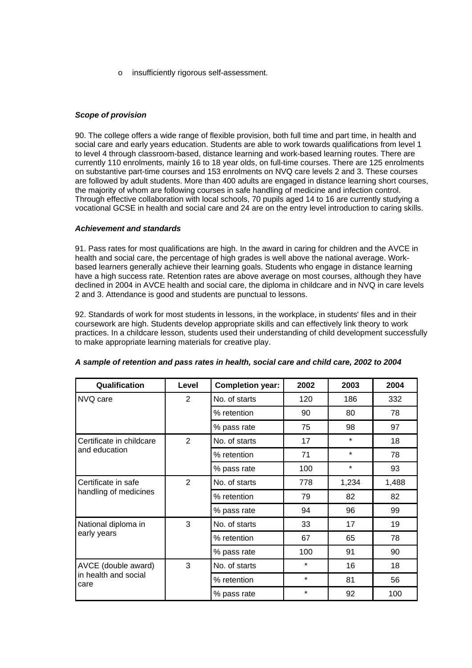o insufficiently rigorous self-assessment.

# *Scope of provision*

90. The college offers a wide range of flexible provision, both full time and part time, in health and social care and early years education. Students are able to work towards qualifications from level 1 to level 4 through classroom-based, distance learning and work-based learning routes. There are currently 110 enrolments, mainly 16 to 18 year olds, on full-time courses. There are 125 enrolments on substantive part-time courses and 153 enrolments on NVQ care levels 2 and 3. These courses are followed by adult students. More than 400 adults are engaged in distance learning short courses, the majority of whom are following courses in safe handling of medicine and infection control. Through effective collaboration with local schools, 70 pupils aged 14 to 16 are currently studying a vocational GCSE in health and social care and 24 are on the entry level introduction to caring skills.

# *Achievement and standards*

91. Pass rates for most qualifications are high. In the award in caring for children and the AVCE in health and social care, the percentage of high grades is well above the national average. Workbased learners generally achieve their learning goals. Students who engage in distance learning have a high success rate. Retention rates are above average on most courses, although they have declined in 2004 in AVCE health and social care, the diploma in childcare and in NVQ in care levels 2 and 3. Attendance is good and students are punctual to lessons.

92. Standards of work for most students in lessons, in the workplace, in students' files and in their coursework are high. Students develop appropriate skills and can effectively link theory to work practices. In a childcare lesson, students used their understanding of child development successfully to make appropriate learning materials for creative play.

| Qualification                                       | Level | <b>Completion year:</b> | 2002    | 2003    | 2004  |
|-----------------------------------------------------|-------|-------------------------|---------|---------|-------|
| NVQ care                                            | 2     | No. of starts           | 120     | 186     | 332   |
|                                                     |       | % retention             | 90      | 80      | 78    |
|                                                     |       | % pass rate             | 75      | 98      | 97    |
| Certificate in childcare                            | 2     | No. of starts           | 17      | $\star$ | 18    |
| and education                                       |       | % retention             | 71      | $\star$ | 78    |
|                                                     |       | % pass rate             | 100     | $\star$ | 93    |
| Certificate in safe<br>handling of medicines        | 2     | No. of starts           | 778     | 1,234   | 1,488 |
|                                                     |       | % retention             | 79      | 82      | 82    |
|                                                     |       | % pass rate             | 94      | 96      | 99    |
| 3<br>National diploma in                            |       | No. of starts           | 33      | 17      | 19    |
| early years                                         |       | % retention             | 67      | 65      | 78    |
|                                                     |       | % pass rate             | 100     | 91      | 90    |
| AVCE (double award)<br>in health and social<br>care | 3     | No. of starts           | $\star$ | 16      | 18    |
|                                                     |       | % retention             | $\star$ | 81      | 56    |
|                                                     |       | % pass rate             | $\star$ | 92      | 100   |

# *A sample of retention and pass rates in health, social care and child care, 2002 to 2004*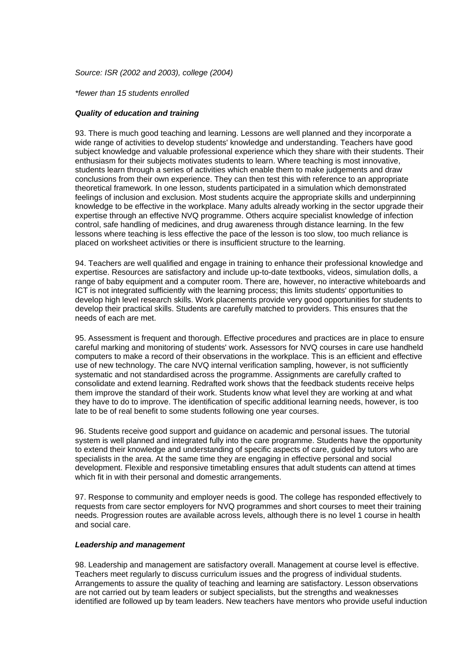*Source: ISR (2002 and 2003), college (2004)*

*\*fewer than 15 students enrolled*

# *Quality of education and training*

93. There is much good teaching and learning. Lessons are well planned and they incorporate a wide range of activities to develop students' knowledge and understanding. Teachers have good subject knowledge and valuable professional experience which they share with their students. Their enthusiasm for their subjects motivates students to learn. Where teaching is most innovative, students learn through a series of activities which enable them to make judgements and draw conclusions from their own experience. They can then test this with reference to an appropriate theoretical framework. In one lesson, students participated in a simulation which demonstrated feelings of inclusion and exclusion. Most students acquire the appropriate skills and underpinning knowledge to be effective in the workplace. Many adults already working in the sector upgrade their expertise through an effective NVQ programme. Others acquire specialist knowledge of infection control, safe handling of medicines, and drug awareness through distance learning. In the few lessons where teaching is less effective the pace of the lesson is too slow, too much reliance is placed on worksheet activities or there is insufficient structure to the learning.

94. Teachers are well qualified and engage in training to enhance their professional knowledge and expertise. Resources are satisfactory and include up-to-date textbooks, videos, simulation dolls, a range of baby equipment and a computer room. There are, however, no interactive whiteboards and ICT is not integrated sufficiently with the learning process; this limits students' opportunities to develop high level research skills. Work placements provide very good opportunities for students to develop their practical skills. Students are carefully matched to providers. This ensures that the needs of each are met.

95. Assessment is frequent and thorough. Effective procedures and practices are in place to ensure careful marking and monitoring of students' work. Assessors for NVQ courses in care use handheld computers to make a record of their observations in the workplace. This is an efficient and effective use of new technology. The care NVQ internal verification sampling, however, is not sufficiently systematic and not standardised across the programme. Assignments are carefully crafted to consolidate and extend learning. Redrafted work shows that the feedback students receive helps them improve the standard of their work. Students know what level they are working at and what they have to do to improve. The identification of specific additional learning needs, however, is too late to be of real benefit to some students following one year courses.

96. Students receive good support and guidance on academic and personal issues. The tutorial system is well planned and integrated fully into the care programme. Students have the opportunity to extend their knowledge and understanding of specific aspects of care, guided by tutors who are specialists in the area. At the same time they are engaging in effective personal and social development. Flexible and responsive timetabling ensures that adult students can attend at times which fit in with their personal and domestic arrangements.

97. Response to community and employer needs is good. The college has responded effectively to requests from care sector employers for NVQ programmes and short courses to meet their training needs. Progression routes are available across levels, although there is no level 1 course in health and social care.

### *Leadership and management*

98. Leadership and management are satisfactory overall. Management at course level is effective. Teachers meet regularly to discuss curriculum issues and the progress of individual students. Arrangements to assure the quality of teaching and learning are satisfactory. Lesson observations are not carried out by team leaders or subject specialists, but the strengths and weaknesses identified are followed up by team leaders. New teachers have mentors who provide useful induction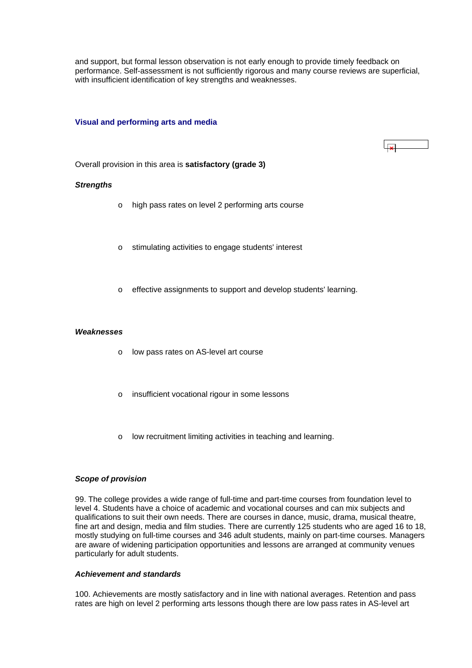<span id="page-32-0"></span>and support, but formal lesson observation is not early enough to provide timely feedback on performance. Self-assessment is not sufficiently rigorous and many course reviews are superficial, with insufficient identification of key strengths and weaknesses.

# **Visual and performing arts and media**



Overall provision in this area is **satisfactory (grade 3)**

#### *Strengths*

- o high pass rates on level 2 performing arts course
- o stimulating activities to engage students' interest
- o effective assignments to support and develop students' learning.

#### *Weaknesses*

- o low pass rates on AS-level art course
- o insufficient vocational rigour in some lessons
- o low recruitment limiting activities in teaching and learning.

#### *Scope of provision*

99. The college provides a wide range of full-time and part-time courses from foundation level to level 4. Students have a choice of academic and vocational courses and can mix subjects and qualifications to suit their own needs. There are courses in dance, music, drama, musical theatre, fine art and design, media and film studies. There are currently 125 students who are aged 16 to 18, mostly studying on full-time courses and 346 adult students, mainly on part-time courses. Managers are aware of widening participation opportunities and lessons are arranged at community venues particularly for adult students.

#### *Achievement and standards*

100. Achievements are mostly satisfactory and in line with national averages. Retention and pass rates are high on level 2 performing arts lessons though there are low pass rates in AS-level art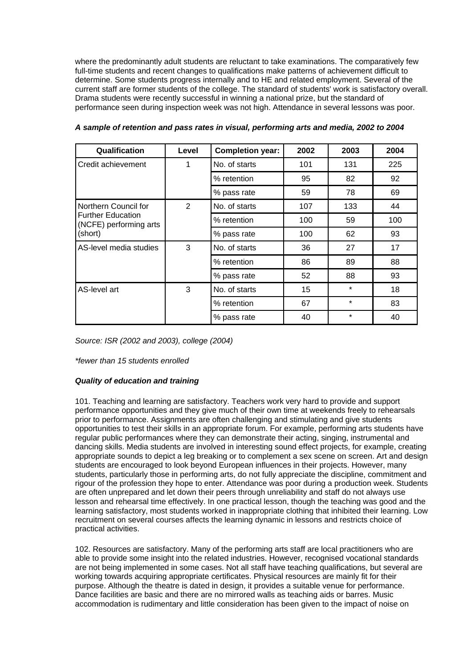where the predominantly adult students are reluctant to take examinations. The comparatively few full-time students and recent changes to qualifications make patterns of achievement difficult to determine. Some students progress internally and to HE and related employment. Several of the current staff are former students of the college. The standard of students' work is satisfactory overall. Drama students were recently successful in winning a national prize, but the standard of performance seen during inspection week was not high. Attendance in several lessons was poor.

| Qualification                                      | Level | <b>Completion year:</b> | 2002 | 2003    | 2004 |
|----------------------------------------------------|-------|-------------------------|------|---------|------|
| Credit achievement                                 | 1     | No. of starts           | 101  | 131     | 225  |
|                                                    |       | % retention             | 95   | 82      | 92   |
|                                                    |       | % pass rate             | 59   | 78      | 69   |
| Northern Council for                               | 2     | No. of starts           | 107  | 133     | 44   |
| <b>Further Education</b><br>(NCFE) performing arts |       | % retention             | 100  | 59      | 100  |
| (short)                                            |       | % pass rate             | 100  | 62      | 93   |
| AS-level media studies                             | 3     | No. of starts           | 36   | 27      | 17   |
|                                                    |       | % retention             | 86   | 89      | 88   |
|                                                    |       | % pass rate             | 52   | 88      | 93   |
| AS-level art                                       | 3     | No. of starts           | 15   | $\star$ | 18   |
|                                                    |       | % retention             | 67   | $\star$ | 83   |
|                                                    |       | % pass rate             | 40   | $\star$ | 40   |

*A sample of retention and pass rates in visual, performing arts and media, 2002 to 2004*

*Source: ISR (2002 and 2003), college (2004)*

*\*fewer than 15 students enrolled*

# *Quality of education and training*

101. Teaching and learning are satisfactory. Teachers work very hard to provide and support performance opportunities and they give much of their own time at weekends freely to rehearsals prior to performance. Assignments are often challenging and stimulating and give students opportunities to test their skills in an appropriate forum. For example, performing arts students have regular public performances where they can demonstrate their acting, singing, instrumental and dancing skills. Media students are involved in interesting sound effect projects, for example, creating appropriate sounds to depict a leg breaking or to complement a sex scene on screen. Art and design students are encouraged to look beyond European influences in their projects. However, many students, particularly those in performing arts, do not fully appreciate the discipline, commitment and rigour of the profession they hope to enter. Attendance was poor during a production week. Students are often unprepared and let down their peers through unreliability and staff do not always use lesson and rehearsal time effectively. In one practical lesson, though the teaching was good and the learning satisfactory, most students worked in inappropriate clothing that inhibited their learning. Low recruitment on several courses affects the learning dynamic in lessons and restricts choice of practical activities.

102. Resources are satisfactory. Many of the performing arts staff are local practitioners who are able to provide some insight into the related industries. However, recognised vocational standards are not being implemented in some cases. Not all staff have teaching qualifications, but several are working towards acquiring appropriate certificates. Physical resources are mainly fit for their purpose. Although the theatre is dated in design, it provides a suitable venue for performance. Dance facilities are basic and there are no mirrored walls as teaching aids or barres. Music accommodation is rudimentary and little consideration has been given to the impact of noise on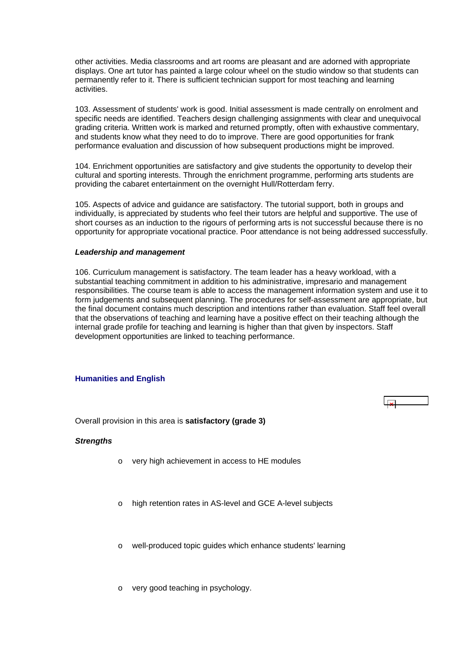<span id="page-34-0"></span>other activities. Media classrooms and art rooms are pleasant and are adorned with appropriate displays. One art tutor has painted a large colour wheel on the studio window so that students can permanently refer to it. There is sufficient technician support for most teaching and learning activities.

103. Assessment of students' work is good. Initial assessment is made centrally on enrolment and specific needs are identified. Teachers design challenging assignments with clear and unequivocal grading criteria. Written work is marked and returned promptly, often with exhaustive commentary, and students know what they need to do to improve. There are good opportunities for frank performance evaluation and discussion of how subsequent productions might be improved.

104. Enrichment opportunities are satisfactory and give students the opportunity to develop their cultural and sporting interests. Through the enrichment programme, performing arts students are providing the cabaret entertainment on the overnight Hull/Rotterdam ferry.

105. Aspects of advice and guidance are satisfactory. The tutorial support, both in groups and individually, is appreciated by students who feel their tutors are helpful and supportive. The use of short courses as an induction to the rigours of performing arts is not successful because there is no opportunity for appropriate vocational practice. Poor attendance is not being addressed successfully.

# *Leadership and management*

106. Curriculum management is satisfactory. The team leader has a heavy workload, with a substantial teaching commitment in addition to his administrative, impresario and management responsibilities. The course team is able to access the management information system and use it to form judgements and subsequent planning. The procedures for self-assessment are appropriate, but the final document contains much description and intentions rather than evaluation. Staff feel overall that the observations of teaching and learning have a positive effect on their teaching although the internal grade profile for teaching and learning is higher than that given by inspectors. Staff development opportunities are linked to teaching performance.

 $\overline{\mathbf{r}}$ 

# **Humanities and English**

Overall provision in this area is **satisfactory (grade 3)**

# *Strengths*

- o very high achievement in access to HE modules
- o high retention rates in AS-level and GCE A-level subjects
- o well-produced topic guides which enhance students' learning
- o very good teaching in psychology.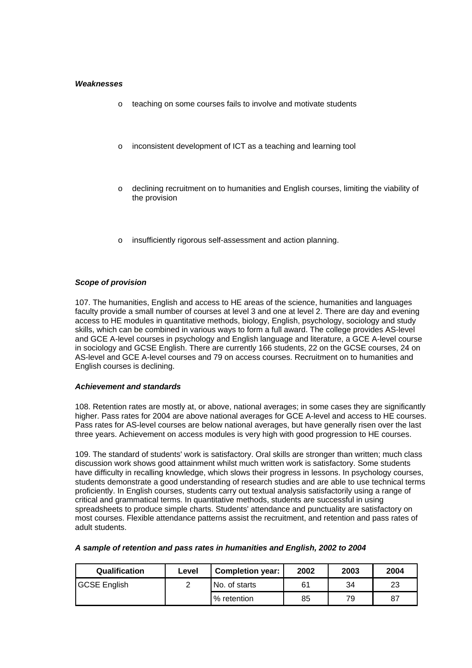# *Weaknesses*

- o teaching on some courses fails to involve and motivate students
- o inconsistent development of ICT as a teaching and learning tool
- declining recruitment on to humanities and English courses, limiting the viability of the provision
- insufficiently rigorous self-assessment and action planning.

# *Scope of provision*

107. The humanities, English and access to HE areas of the science, humanities and languages faculty provide a small number of courses at level 3 and one at level 2. There are day and evening access to HE modules in quantitative methods, biology, English, psychology, sociology and study skills, which can be combined in various ways to form a full award. The college provides AS-level and GCE A-level courses in psychology and English language and literature, a GCE A-level course in sociology and GCSE English. There are currently 166 students, 22 on the GCSE courses, 24 on AS-level and GCE A-level courses and 79 on access courses. Recruitment on to humanities and English courses is declining.

# *Achievement and standards*

108. Retention rates are mostly at, or above, national averages; in some cases they are significantly higher. Pass rates for 2004 are above national averages for GCE A-level and access to HE courses. Pass rates for AS-level courses are below national averages, but have generally risen over the last three years. Achievement on access modules is very high with good progression to HE courses.

109. The standard of students' work is satisfactory. Oral skills are stronger than written; much class discussion work shows good attainment whilst much written work is satisfactory. Some students have difficulty in recalling knowledge, which slows their progress in lessons. In psychology courses, students demonstrate a good understanding of research studies and are able to use technical terms proficiently. In English courses, students carry out textual analysis satisfactorily using a range of critical and grammatical terms. In quantitative methods, students are successful in using spreadsheets to produce simple charts. Students' attendance and punctuality are satisfactory on most courses. Flexible attendance patterns assist the recruitment, and retention and pass rates of adult students.

|  | A sample of retention and pass rates in humanities and English, 2002 to 2004 |  |
|--|------------------------------------------------------------------------------|--|
|--|------------------------------------------------------------------------------|--|

| Qualification       | Level | <b>Completion year:</b> | 2002 | 2003 | 2004 |
|---------------------|-------|-------------------------|------|------|------|
| <b>GCSE English</b> |       | No. of starts           | 61   | 34   | 23   |
|                     |       | % retention             | 85   | 79   | 87   |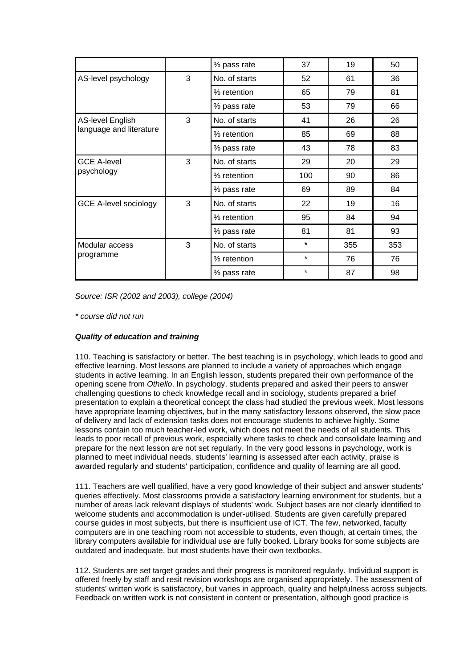|                                  |   | % pass rate   | 37      | 19  | 50  |
|----------------------------------|---|---------------|---------|-----|-----|
| AS-level psychology              | 3 | No. of starts | 52      | 61  | 36  |
|                                  |   | % retention   | 65      | 79  | 81  |
|                                  |   | % pass rate   | 53      | 79  | 66  |
| <b>AS-level English</b>          | 3 | No. of starts | 41      | 26  | 26  |
| language and literature          |   | % retention   | 85      | 69  | 88  |
|                                  |   | % pass rate   | 43      | 78  | 83  |
| <b>GCE A-level</b><br>psychology | 3 | No. of starts | 29      | 20  | 29  |
|                                  |   | % retention   | 100     | 90  | 86  |
|                                  |   | % pass rate   | 69      | 89  | 84  |
| <b>GCE A-level sociology</b>     | 3 | No. of starts | 22      | 19  | 16  |
|                                  |   | % retention   | 95      | 84  | 94  |
|                                  |   | % pass rate   | 81      | 81  | 93  |
| Modular access<br>programme      | 3 | No. of starts | $\star$ | 355 | 353 |
|                                  |   | % retention   | $\star$ | 76  | 76  |
|                                  |   | % pass rate   | $\star$ | 87  | 98  |

*Source: ISR (2002 and 2003), college (2004)*

*\* course did not run*

# *Quality of education and training*

110. Teaching is satisfactory or better. The best teaching is in psychology, which leads to good and effective learning. Most lessons are planned to include a variety of approaches which engage students in active learning. In an English lesson, students prepared their own performance of the opening scene from *Othello*. In psychology, students prepared and asked their peers to answer challenging questions to check knowledge recall and in sociology, students prepared a brief presentation to explain a theoretical concept the class had studied the previous week. Most lessons have appropriate learning objectives, but in the many satisfactory lessons observed, the slow pace of delivery and lack of extension tasks does not encourage students to achieve highly. Some lessons contain too much teacher-led work, which does not meet the needs of all students. This leads to poor recall of previous work, especially where tasks to check and consolidate learning and prepare for the next lesson are not set regularly. In the very good lessons in psychology, work is planned to meet individual needs, students' learning is assessed after each activity, praise is awarded regularly and students' participation, confidence and quality of learning are all good.

111. Teachers are well qualified, have a very good knowledge of their subject and answer students' queries effectively. Most classrooms provide a satisfactory learning environment for students, but a number of areas lack relevant displays of students' work. Subject bases are not clearly identified to welcome students and accommodation is under-utilised. Students are given carefully prepared course guides in most subjects, but there is insufficient use of ICT. The few, networked, faculty computers are in one teaching room not accessible to students, even though, at certain times, the library computers available for individual use are fully booked. Library books for some subjects are outdated and inadequate, but most students have their own textbooks.

112. Students are set target grades and their progress is monitored regularly. Individual support is offered freely by staff and resit revision workshops are organised appropriately. The assessment of students' written work is satisfactory, but varies in approach, quality and helpfulness across subjects. Feedback on written work is not consistent in content or presentation, although good practice is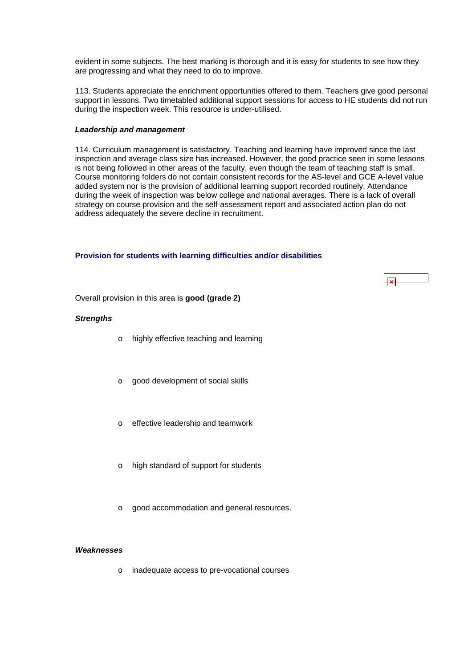<span id="page-37-0"></span>evident in some subjects. The best marking is thorough and it is easy for students to see how they are progressing and what they need to do to improve.

113. Students appreciate the enrichment opportunities offered to them. Teachers give good personal support in lessons. Two timetabled additional support sessions for access to HE students did not run during the inspection week. This resource is under-utilised.

### *Leadership and management*

114. Curriculum management is satisfactory. Teaching and learning have improved since the last inspection and average class size has increased. However, the good practice seen in some lessons is not being followed in other areas of the faculty, even though the team of teaching staff is small. Course monitoring folders do not contain consistent records for the AS-level and GCE A-level value added system nor is the provision of additional learning support recorded routinely. Attendance during the week of inspection was below college and national averages. There is a lack of overall strategy on course provision and the self-assessment report and associated action plan do not address adequately the severe decline in recruitment.

### **Provision for students with learning difficulties and/or disabilities**



Overall provision in this area is **good (grade 2)**

### *Strengths*

- o highly effective teaching and learning
- o good development of social skills
- o effective leadership and teamwork
- o high standard of support for students
- o good accommodation and general resources.

#### *Weaknesses*

o inadequate access to pre-vocational courses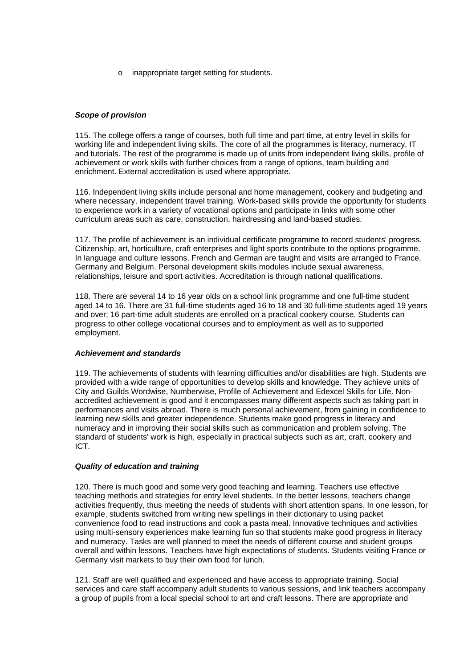o inappropriate target setting for students.

# *Scope of provision*

115. The college offers a range of courses, both full time and part time, at entry level in skills for working life and independent living skills. The core of all the programmes is literacy, numeracy, IT and tutorials. The rest of the programme is made up of units from independent living skills, profile of achievement or work skills with further choices from a range of options, team building and enrichment. External accreditation is used where appropriate.

116. Independent living skills include personal and home management, cookery and budgeting and where necessary, independent travel training. Work-based skills provide the opportunity for students to experience work in a variety of vocational options and participate in links with some other curriculum areas such as care, construction, hairdressing and land-based studies.

117. The profile of achievement is an individual certificate programme to record students' progress. Citizenship, art, horticulture, craft enterprises and light sports contribute to the options programme. In language and culture lessons, French and German are taught and visits are arranged to France, Germany and Belgium. Personal development skills modules include sexual awareness, relationships, leisure and sport activities. Accreditation is through national qualifications.

118. There are several 14 to 16 year olds on a school link programme and one full-time student aged 14 to 16. There are 31 full-time students aged 16 to 18 and 30 full-time students aged 19 years and over; 16 part-time adult students are enrolled on a practical cookery course. Students can progress to other college vocational courses and to employment as well as to supported employment.

# *Achievement and standards*

119. The achievements of students with learning difficulties and/or disabilities are high. Students are provided with a wide range of opportunities to develop skills and knowledge. They achieve units of City and Guilds Wordwise, Numberwise, Profile of Achievement and Edexcel Skills for Life. Nonaccredited achievement is good and it encompasses many different aspects such as taking part in performances and visits abroad. There is much personal achievement, from gaining in confidence to learning new skills and greater independence. Students make good progress in literacy and numeracy and in improving their social skills such as communication and problem solving. The standard of students' work is high, especially in practical subjects such as art, craft, cookery and ICT.

# *Quality of education and training*

120. There is much good and some very good teaching and learning. Teachers use effective teaching methods and strategies for entry level students. In the better lessons, teachers change activities frequently, thus meeting the needs of students with short attention spans. In one lesson, for example, students switched from writing new spellings in their dictionary to using packet convenience food to read instructions and cook a pasta meal. Innovative techniques and activities using multi-sensory experiences make learning fun so that students make good progress in literacy and numeracy. Tasks are well planned to meet the needs of different course and student groups overall and within lessons. Teachers have high expectations of students. Students visiting France or Germany visit markets to buy their own food for lunch.

121. Staff are well qualified and experienced and have access to appropriate training. Social services and care staff accompany adult students to various sessions, and link teachers accompany a group of pupils from a local special school to art and craft lessons. There are appropriate and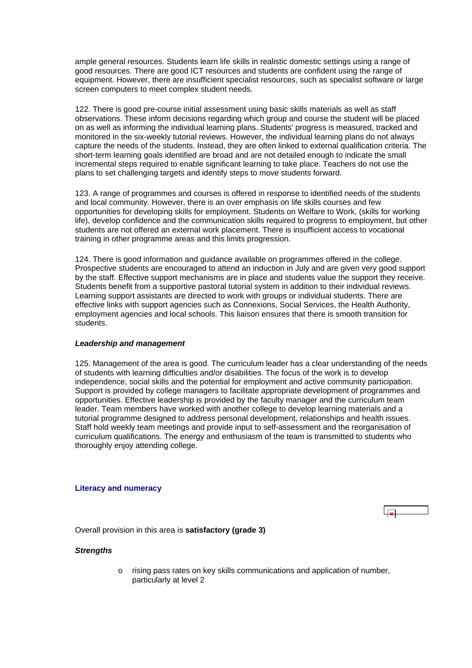<span id="page-39-0"></span>ample general resources. Students learn life skills in realistic domestic settings using a range of good resources. There are good ICT resources and students are confident using the range of equipment. However, there are insufficient specialist resources, such as specialist software or large screen computers to meet complex student needs.

122. There is good pre-course initial assessment using basic skills materials as well as staff observations. These inform decisions regarding which group and course the student will be placed on as well as informing the individual learning plans. Students' progress is measured, tracked and monitored in the six-weekly tutorial reviews. However, the individual learning plans do not always capture the needs of the students. Instead, they are often linked to external qualification criteria. The short-term learning goals identified are broad and are not detailed enough to indicate the small incremental steps required to enable significant learning to take place. Teachers do not use the plans to set challenging targets and identify steps to move students forward.

123. A range of programmes and courses is offered in response to identified needs of the students and local community. However, there is an over emphasis on life skills courses and few opportunities for developing skills for employment. Students on Welfare to Work, (skills for working life), develop confidence and the communication skills required to progress to employment, but other students are not offered an external work placement. There is insufficient access to vocational training in other programme areas and this limits progression.

124. There is good information and guidance available on programmes offered in the college. Prospective students are encouraged to attend an induction in July and are given very good support by the staff. Effective support mechanisms are in place and students value the support they receive. Students benefit from a supportive pastoral tutorial system in addition to their individual reviews. Learning support assistants are directed to work with groups or individual students. There are effective links with support agencies such as Connexions, Social Services, the Health Authority, employment agencies and local schools. This liaison ensures that there is smooth transition for students.

# *Leadership and management*

125. Management of the area is good. The curriculum leader has a clear understanding of the needs of students with learning difficulties and/or disabilities. The focus of the work is to develop independence, social skills and the potential for employment and active community participation. Support is provided by college managers to facilitate appropriate development of programmes and opportunities. Effective leadership is provided by the faculty manager and the curriculum team leader. Team members have worked with another college to develop learning materials and a tutorial programme designed to address personal development, relationships and health issues. Staff hold weekly team meetings and provide input to self-assessment and the reorganisation of curriculum qualifications. The energy and enthusiasm of the team is transmitted to students who thoroughly enjoy attending college.

# **Literacy and numeracy**

Overall provision in this area is **satisfactory (grade 3)**

# *Strengths*

o rising pass rates on key skills communications and application of number, particularly at level 2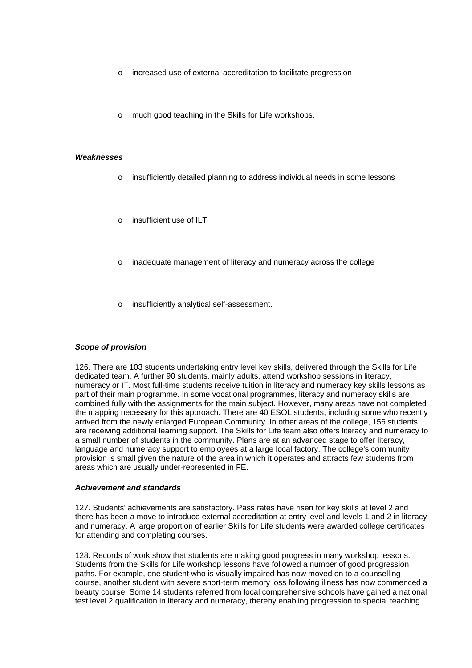- increased use of external accreditation to facilitate progression
- much good teaching in the Skills for Life workshops.

### *Weaknesses*

- o insufficiently detailed planning to address individual needs in some lessons
- insufficient use of ILT
- inadequate management of literacy and numeracy across the college
- insufficiently analytical self-assessment.

# *Scope of provision*

126. There are 103 students undertaking entry level key skills, delivered through the Skills for Life dedicated team. A further 90 students, mainly adults, attend workshop sessions in literacy, numeracy or IT. Most full-time students receive tuition in literacy and numeracy key skills lessons as part of their main programme. In some vocational programmes, literacy and numeracy skills are combined fully with the assignments for the main subject. However, many areas have not completed the mapping necessary for this approach. There are 40 ESOL students, including some who recently arrived from the newly enlarged European Community. In other areas of the college, 156 students are receiving additional learning support. The Skills for Life team also offers literacy and numeracy to a small number of students in the community. Plans are at an advanced stage to offer literacy, language and numeracy support to employees at a large local factory. The college's community provision is small given the nature of the area in which it operates and attracts few students from areas which are usually under-represented in FE.

# *Achievement and standards*

127. Students' achievements are satisfactory. Pass rates have risen for key skills at level 2 and there has been a move to introduce external accreditation at entry level and levels 1 and 2 in literacy and numeracy. A large proportion of earlier Skills for Life students were awarded college certificates for attending and completing courses.

128. Records of work show that students are making good progress in many workshop lessons. Students from the Skills for Life workshop lessons have followed a number of good progression paths. For example, one student who is visually impaired has now moved on to a counselling course, another student with severe short-term memory loss following illness has now commenced a beauty course. Some 14 students referred from local comprehensive schools have gained a national test level 2 qualification in literacy and numeracy, thereby enabling progression to special teaching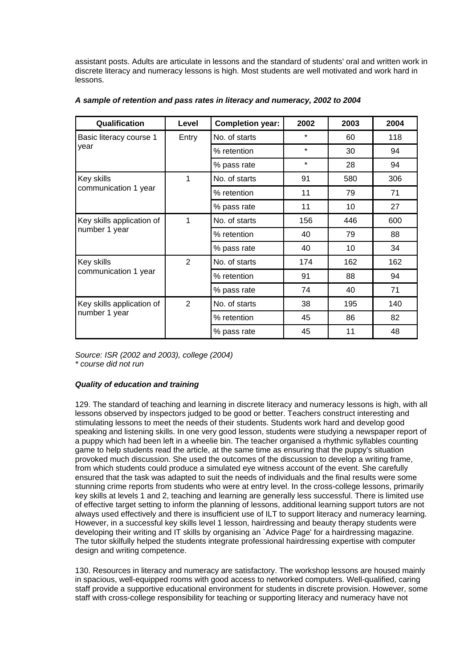assistant posts. Adults are articulate in lessons and the standard of students' oral and written work in discrete literacy and numeracy lessons is high. Most students are well motivated and work hard in lessons.

| Qualification                              | Level          | <b>Completion year:</b> | 2002    | 2003 | 2004 |
|--------------------------------------------|----------------|-------------------------|---------|------|------|
| Basic literacy course 1                    | Entry          | No. of starts           | $\star$ | 60   | 118  |
| year                                       |                | % retention             | $\star$ | 30   | 94   |
|                                            |                | % pass rate             | $\star$ | 28   | 94   |
| Key skills                                 | 1              | No. of starts           | 91      | 580  | 306  |
| communication 1 year                       |                | % retention             | 11      | 79   | 71   |
|                                            |                | % pass rate             | 11      | 10   | 27   |
| Key skills application of<br>number 1 year | 1              | No. of starts           | 156     | 446  | 600  |
|                                            |                | % retention             | 40      | 79   | 88   |
|                                            |                | % pass rate             | 40      | 10   | 34   |
| Key skills                                 | $\overline{2}$ | No. of starts           | 174     | 162  | 162  |
| communication 1 year                       |                | % retention             | 91      | 88   | 94   |
|                                            |                | % pass rate             | 74      | 40   | 71   |
| Key skills application of<br>number 1 year | $\overline{2}$ | No. of starts           | 38      | 195  | 140  |
|                                            |                | % retention             | 45      | 86   | 82   |
|                                            |                | % pass rate             | 45      | 11   | 48   |

# *A sample of retention and pass rates in literacy and numeracy, 2002 to 2004*

*Source: ISR (2002 and 2003), college (2004) \* course did not run*

# *Quality of education and training*

129. The standard of teaching and learning in discrete literacy and numeracy lessons is high, with all lessons observed by inspectors judged to be good or better. Teachers construct interesting and stimulating lessons to meet the needs of their students. Students work hard and develop good speaking and listening skills. In one very good lesson, students were studying a newspaper report of a puppy which had been left in a wheelie bin. The teacher organised a rhythmic syllables counting game to help students read the article, at the same time as ensuring that the puppy's situation provoked much discussion. She used the outcomes of the discussion to develop a writing frame, from which students could produce a simulated eye witness account of the event. She carefully ensured that the task was adapted to suit the needs of individuals and the final results were some stunning crime reports from students who were at entry level. In the cross-college lessons, primarily key skills at levels 1 and 2, teaching and learning are generally less successful. There is limited use of effective target setting to inform the planning of lessons, additional learning support tutors are not always used effectively and there is insufficient use of ILT to support literacy and numeracy learning. However, in a successful key skills level 1 lesson, hairdressing and beauty therapy students were developing their writing and IT skills by organising an `Advice Page' for a hairdressing magazine. The tutor skilfully helped the students integrate professional hairdressing expertise with computer design and writing competence.

130. Resources in literacy and numeracy are satisfactory. The workshop lessons are housed mainly in spacious, well-equipped rooms with good access to networked computers. Well-qualified, caring staff provide a supportive educational environment for students in discrete provision. However, some staff with cross-college responsibility for teaching or supporting literacy and numeracy have not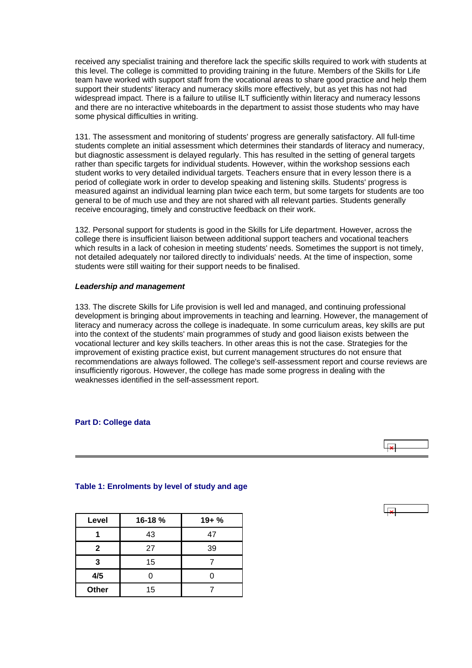<span id="page-42-0"></span>received any specialist training and therefore lack the specific skills required to work with students at this level. The college is committed to providing training in the future. Members of the Skills for Life team have worked with support staff from the vocational areas to share good practice and help them support their students' literacy and numeracy skills more effectively, but as yet this has not had widespread impact. There is a failure to utilise ILT sufficiently within literacy and numeracy lessons and there are no interactive whiteboards in the department to assist those students who may have some physical difficulties in writing.

131. The assessment and monitoring of students' progress are generally satisfactory. All full-time students complete an initial assessment which determines their standards of literacy and numeracy, but diagnostic assessment is delayed regularly. This has resulted in the setting of general targets rather than specific targets for individual students. However, within the workshop sessions each student works to very detailed individual targets. Teachers ensure that in every lesson there is a period of collegiate work in order to develop speaking and listening skills. Students' progress is measured against an individual learning plan twice each term, but some targets for students are too general to be of much use and they are not shared with all relevant parties. Students generally receive encouraging, timely and constructive feedback on their work.

132. Personal support for students is good in the Skills for Life department. However, across the college there is insufficient liaison between additional support teachers and vocational teachers which results in a lack of cohesion in meeting students' needs. Sometimes the support is not timely, not detailed adequately nor tailored directly to individuals' needs. At the time of inspection, some students were still waiting for their support needs to be finalised.

# *Leadership and management*

133. The discrete Skills for Life provision is well led and managed, and continuing professional development is bringing about improvements in teaching and learning. However, the management of literacy and numeracy across the college is inadequate. In some curriculum areas, key skills are put into the context of the students' main programmes of study and good liaison exists between the vocational lecturer and key skills teachers. In other areas this is not the case. Strategies for the improvement of existing practice exist, but current management structures do not ensure that recommendations are always followed. The college's self-assessment report and course reviews are insufficiently rigorous. However, the college has made some progress in dealing with the weaknesses identified in the self-assessment report.

# **Part D: College data**

# **Table 1: Enrolments by level of study and age**

| Level | 16-18 % | $19 + \%$ |
|-------|---------|-----------|
|       | 43      | 47        |
| 2     | 27      | 39        |
| 3     | 15      |           |
| 4/5   |         |           |
| Other | 15      |           |

 $\overline{\mathbf{x}}$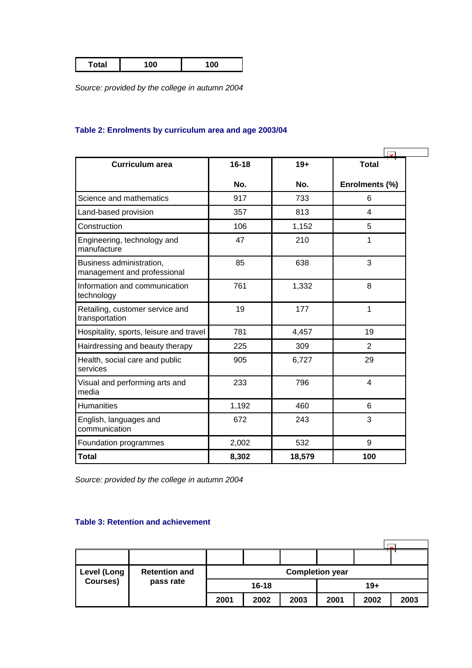<span id="page-43-0"></span>

| 00 | 100 |
|----|-----|

*Source: provided by the college in autumn 2004*

# **Table 2: Enrolments by curriculum area and age 2003/04**

| <b>Curriculum area</b>                                  | $16 - 18$ | $19+$  | <b>Total</b>    |
|---------------------------------------------------------|-----------|--------|-----------------|
|                                                         | No.       | No.    | Enrolments (%)  |
| Science and mathematics                                 | 917       | 733    | 6               |
| Land-based provision                                    | 357       | 813    | 4               |
| Construction                                            | 106       | 1,152  | 5               |
| Engineering, technology and<br>manufacture              | 47        | 210    | 1               |
| Business administration,<br>management and professional | 85        | 638    | 3               |
| Information and communication<br>technology             | 761       | 1,332  | 8               |
| Retailing, customer service and<br>transportation       | 19        | 177    | $\mathbf{1}$    |
| Hospitality, sports, leisure and travel                 | 781       | 4,457  | 19              |
| Hairdressing and beauty therapy                         | 225       | 309    | $\overline{2}$  |
| Health, social care and public<br>services              | 905       | 6,727  | 29              |
| Visual and performing arts and<br>media                 | 233       | 796    | 4               |
| <b>Humanities</b>                                       | 1,192     | 460    | $6\phantom{1}6$ |
| English, languages and<br>communication                 | 672       | 243    | 3               |
| Foundation programmes                                   | 2,002     | 532    | 9               |
| <b>Total</b>                                            | 8,302     | 18,579 | 100             |

*Source: provided by the college in autumn 2004*

# **Table 3: Retention and achievement**

| <b>Level (Long</b> | <b>Retention and</b>  | <b>Completion year</b> |           |      |      |       |      |
|--------------------|-----------------------|------------------------|-----------|------|------|-------|------|
|                    | Courses)<br>pass rate |                        | $16 - 18$ |      |      | $19+$ |      |
|                    |                       | 2001                   | 2002      | 2003 | 2001 | 2002  | 2003 |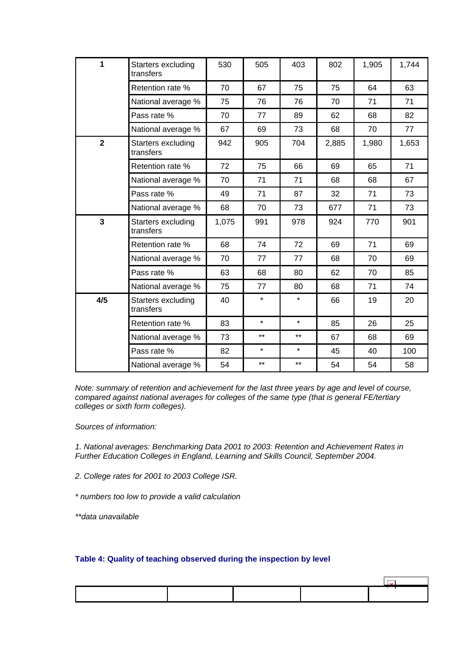<span id="page-44-0"></span>

| 1                       | Starters excluding<br>transfers | 530   | 505     | 403     | 802   | 1,905 | 1,744 |
|-------------------------|---------------------------------|-------|---------|---------|-------|-------|-------|
|                         | Retention rate %                | 70    | 67      | 75      | 75    | 64    | 63    |
|                         | National average %              | 75    | 76      | 76      | 70    | 71    | 71    |
|                         | Pass rate %                     | 70    | 77      | 89      | 62    | 68    | 82    |
|                         | National average %              | 67    | 69      | 73      | 68    | 70    | 77    |
| $\overline{\mathbf{2}}$ | Starters excluding<br>transfers | 942   | 905     | 704     | 2,885 | 1,980 | 1,653 |
|                         | Retention rate %                | 72    | 75      | 66      | 69    | 65    | 71    |
|                         | National average %              | 70    | 71      | 71      | 68    | 68    | 67    |
|                         | Pass rate %                     | 49    | 71      | 87      | 32    | 71    | 73    |
|                         | National average %              | 68    | 70      | 73      | 677   | 71    | 73    |
| $\overline{\mathbf{3}}$ | Starters excluding<br>transfers | 1,075 | 991     | 978     | 924   | 770   | 901   |
|                         | Retention rate %                | 68    | 74      | 72      | 69    | 71    | 69    |
|                         | National average %              | 70    | 77      | 77      | 68    | 70    | 69    |
|                         | Pass rate %                     | 63    | 68      | 80      | 62    | 70    | 85    |
|                         | National average %              | 75    | 77      | 80      | 68    | 71    | 74    |
| 4/5                     | Starters excluding<br>transfers | 40    | $\star$ | $\star$ | 66    | 19    | 20    |
|                         | Retention rate %                | 83    | $\star$ | $\star$ | 85    | 26    | 25    |
|                         | National average %              | 73    | $***$   | $***$   | 67    | 68    | 69    |
|                         | Pass rate %                     | 82    | $\star$ | $\star$ | 45    | 40    | 100   |
|                         | National average %              | 54    | $***$   | $***$   | 54    | 54    | 58    |

*Note: summary of retention and achievement for the last three years by age and level of course, compared against national averages for colleges of the same type (that is general FE/tertiary colleges or sixth form colleges).*

# *Sources of information:*

*1. National averages: Benchmarking Data 2001 to 2003: Retention and Achievement Rates in Further Education Colleges in England, Learning and Skills Council, September 2004.*

*2. College rates for 2001 to 2003 College ISR.*

*\* numbers too low to provide a valid calculation*

*\*\*data unavailable*

# **Table 4: Quality of teaching observed during the inspection by level**

|  |  | -- |
|--|--|----|
|  |  |    |
|  |  |    |